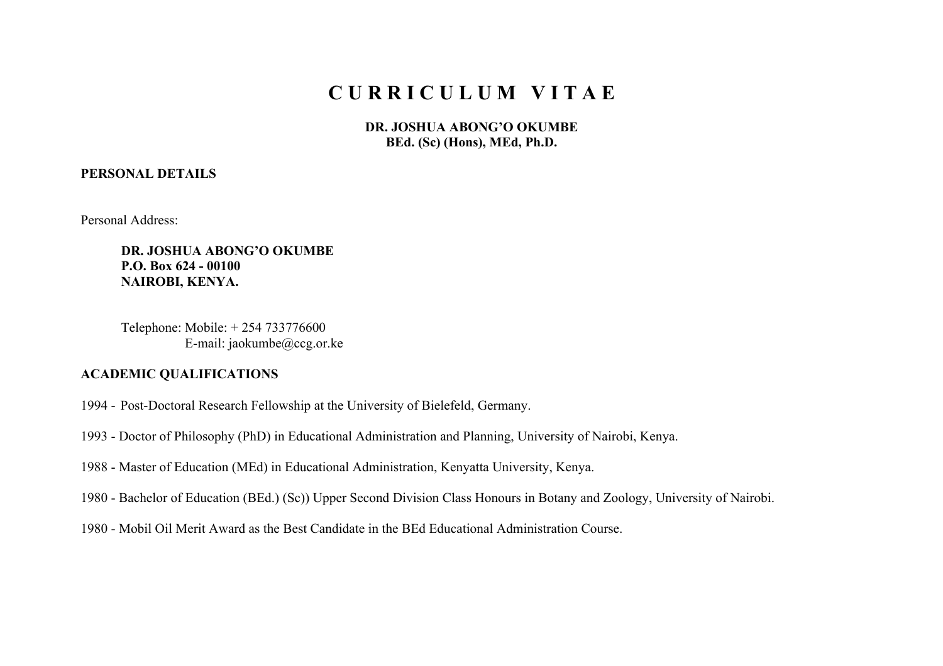# **C U R R I C U L U M V I T A E**

**DR. JOSHUA ABONG'O OKUMBE BEd. (Sc) (Hons), MEd, Ph.D.**

## **PERSONAL DETAILS**

Personal Address:

**DR. JOSHUA ABONG'O OKUMBE P.O. Box 624 - 00100 NAIROBI, KENYA.**

Telephone: Mobile: + 254 733776600 E-mail: jaokumbe@ccg.or.ke

#### **ACADEMIC QUALIFICATIONS**

- 1994 Post-Doctoral Research Fellowship at the University of Bielefeld, Germany.
- 1993 Doctor of Philosophy (PhD) in Educational Administration and Planning, University of Nairobi, Kenya.
- 1988 Master of Education (MEd) in Educational Administration, Kenyatta University, Kenya.
- 1980 Bachelor of Education (BEd.) (Sc)) Upper Second Division Class Honours in Botany and Zoology, University of Nairobi.
- 1980 Mobil Oil Merit Award as the Best Candidate in the BEd Educational Administration Course.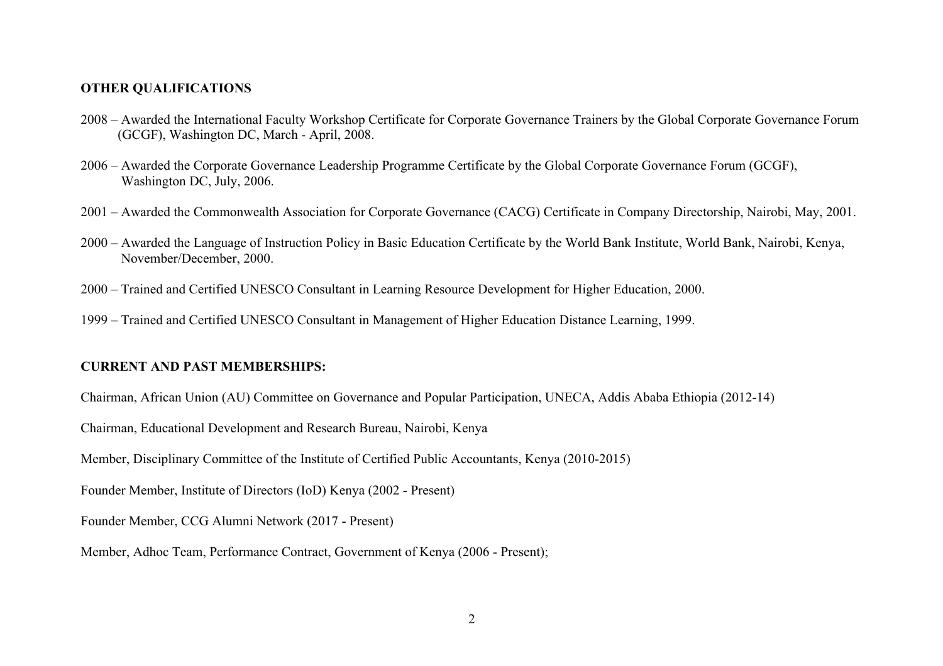#### **OTHER QUALIFICATIONS**

- 2008 Awarded the International Faculty Workshop Certificate for Corporate Governance Trainers by the Global Corporate Governance Forum (GCGF), Washington DC, March - April, 2008.
- 2006 Awarded the Corporate Governance Leadership Programme Certificate by the Global Corporate Governance Forum (GCGF), Washington DC, July, 2006.
- 2001 Awarded the Commonwealth Association for Corporate Governance (CACG) Certificate in Company Directorship, Nairobi, May, 2001.
- 2000 Awarded the Language of Instruction Policy in Basic Education Certificate by the World Bank Institute, World Bank, Nairobi, Kenya, November/December, 2000.
- 2000 Trained and Certified UNESCO Consultant in Learning Resource Development for Higher Education, 2000.
- 1999 Trained and Certified UNESCO Consultant in Management of Higher Education Distance Learning, 1999.

#### **CURRENT AND PAST MEMBERSHIPS:**

Chairman, African Union (AU) Committee on Governance and Popular Participation, UNECA, Addis Ababa Ethiopia (2012-14)

Chairman, Educational Development and Research Bureau, Nairobi, Kenya

Member, Disciplinary Committee of the Institute of Certified Public Accountants, Kenya (2010-2015)

Founder Member, Institute of Directors (IoD) Kenya (2002 - Present)

Founder Member, CCG Alumni Network (2017 - Present)

Member, Adhoc Team, Performance Contract, Government of Kenya (2006 - Present);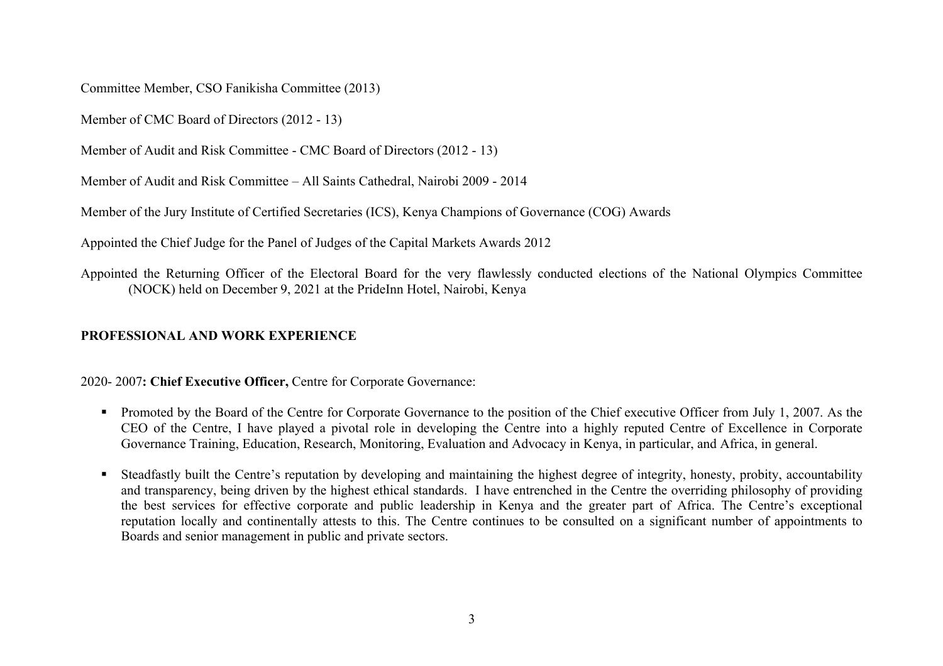Committee Member, CSO Fanikisha Committee (2013)

Member of CMC Board of Directors (2012 - 13)

Member of Audit and Risk Committee - CMC Board of Directors (2012 - 13)

Member of Audit and Risk Committee – All Saints Cathedral, Nairobi 2009 - 2014

Member of the Jury Institute of Certified Secretaries (ICS), Kenya Champions of Governance (COG) Awards

Appointed the Chief Judge for the Panel of Judges of the Capital Markets Awards 2012

Appointed the Returning Officer of the Electoral Board for the very flawlessly conducted elections of the National Olympics Committee (NOCK) held on December 9, 2021 at the PrideInn Hotel, Nairobi, Kenya

# **PROFESSIONAL AND WORK EXPERIENCE**

2020- 2007**: Chief Executive Officer,** Centre for Corporate Governance:

- Promoted by the Board of the Centre for Corporate Governance to the position of the Chief executive Officer from July 1, 2007. As the CEO of the Centre, I have played a pivotal role in developing the Centre into a highly reputed Centre of Excellence in Corporate Governance Training, Education, Research, Monitoring, Evaluation and Advocacy in Kenya, in particular, and Africa, in general.
- Steadfastly built the Centre's reputation by developing and maintaining the highest degree of integrity, honesty, probity, accountability and transparency, being driven by the highest ethical standards. I have entrenched in the Centre the overriding philosophy of providing the best services for effective corporate and public leadership in Kenya and the greater part of Africa. The Centre's exceptional reputation locally and continentally attests to this. The Centre continues to be consulted on a significant number of appointments to Boards and senior management in public and private sectors.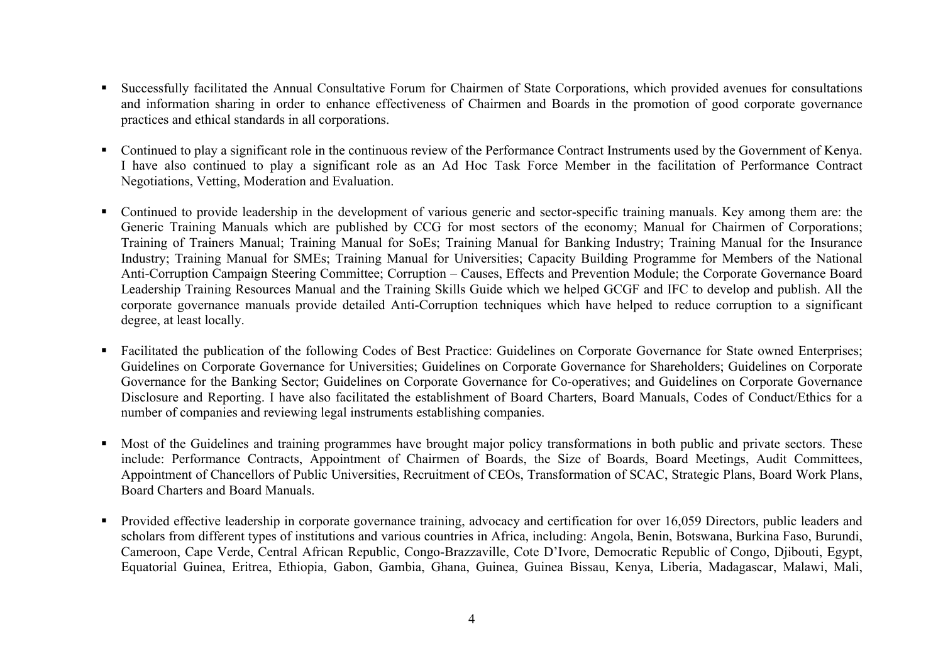- § Successfully facilitated the Annual Consultative Forum for Chairmen of State Corporations, which provided avenues for consultations and information sharing in order to enhance effectiveness of Chairmen and Boards in the promotion of good corporate governance practices and ethical standards in all corporations.
- Continued to play a significant role in the continuous review of the Performance Contract Instruments used by the Government of Kenya. I have also continued to play a significant role as an Ad Hoc Task Force Member in the facilitation of Performance Contract Negotiations, Vetting, Moderation and Evaluation.
- Continued to provide leadership in the development of various generic and sector-specific training manuals. Key among them are: the Generic Training Manuals which are published by CCG for most sectors of the economy; Manual for Chairmen of Corporations; Training of Trainers Manual; Training Manual for SoEs; Training Manual for Banking Industry; Training Manual for the Insurance Industry; Training Manual for SMEs; Training Manual for Universities; Capacity Building Programme for Members of the National Anti-Corruption Campaign Steering Committee; Corruption – Causes, Effects and Prevention Module; the Corporate Governance Board Leadership Training Resources Manual and the Training Skills Guide which we helped GCGF and IFC to develop and publish. All the corporate governance manuals provide detailed Anti-Corruption techniques which have helped to reduce corruption to a significant degree, at least locally.
- Facilitated the publication of the following Codes of Best Practice: Guidelines on Corporate Governance for State owned Enterprises; Guidelines on Corporate Governance for Universities; Guidelines on Corporate Governance for Shareholders; Guidelines on Corporate Governance for the Banking Sector; Guidelines on Corporate Governance for Co-operatives; and Guidelines on Corporate Governance Disclosure and Reporting. I have also facilitated the establishment of Board Charters, Board Manuals, Codes of Conduct/Ethics for a number of companies and reviewing legal instruments establishing companies.
- § Most of the Guidelines and training programmes have brought major policy transformations in both public and private sectors. These include: Performance Contracts, Appointment of Chairmen of Boards, the Size of Boards, Board Meetings, Audit Committees, Appointment of Chancellors of Public Universities, Recruitment of CEOs, Transformation of SCAC, Strategic Plans, Board Work Plans, Board Charters and Board Manuals.
- Provided effective leadership in corporate governance training, advocacy and certification for over 16,059 Directors, public leaders and scholars from different types of institutions and various countries in Africa, including: Angola, Benin, Botswana, Burkina Faso, Burundi, Cameroon, Cape Verde, Central African Republic, Congo-Brazzaville, Cote D'Ivore, Democratic Republic of Congo, Djibouti, Egypt, Equatorial Guinea, Eritrea, Ethiopia, Gabon, Gambia, Ghana, Guinea, Guinea Bissau, Kenya, Liberia, Madagascar, Malawi, Mali,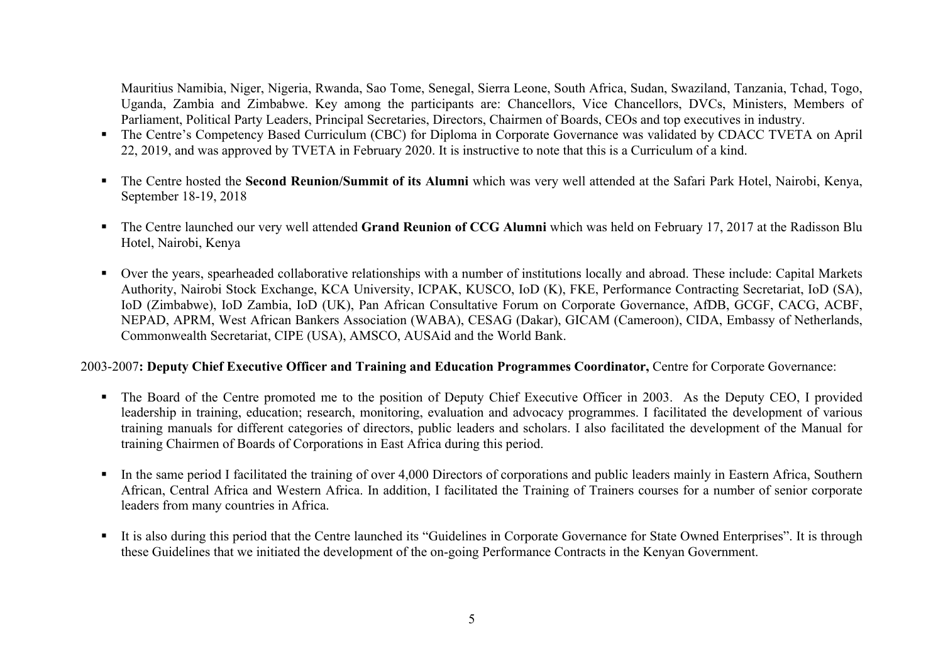Mauritius Namibia, Niger, Nigeria, Rwanda, Sao Tome, Senegal, Sierra Leone, South Africa, Sudan, Swaziland, Tanzania, Tchad, Togo, Uganda, Zambia and Zimbabwe. Key among the participants are: Chancellors, Vice Chancellors, DVCs, Ministers, Members of Parliament, Political Party Leaders, Principal Secretaries, Directors, Chairmen of Boards, CEOs and top executives in industry.

- The Centre's Competency Based Curriculum (CBC) for Diploma in Corporate Governance was validated by CDACC TVETA on April 22, 2019, and was approved by TVETA in February 2020. It is instructive to note that this is a Curriculum of a kind.
- § The Centre hosted the **Second Reunion/Summit of its Alumni** which was very well attended at the Safari Park Hotel, Nairobi, Kenya, September 18-19, 2018
- The Centre launched our very well attended Grand Reunion of CCG Alumni which was held on February 17, 2017 at the Radisson Blu Hotel, Nairobi, Kenya
- Over the years, spearheaded collaborative relationships with a number of institutions locally and abroad. These include: Capital Markets Authority, Nairobi Stock Exchange, KCA University, ICPAK, KUSCO, IoD (K), FKE, Performance Contracting Secretariat, IoD (SA), IoD (Zimbabwe), IoD Zambia, IoD (UK), Pan African Consultative Forum on Corporate Governance, AfDB, GCGF, CACG, ACBF, NEPAD, APRM, West African Bankers Association (WABA), CESAG (Dakar), GICAM (Cameroon), CIDA, Embassy of Netherlands, Commonwealth Secretariat, CIPE (USA), AMSCO, AUSAid and the World Bank.

## 2003-2007**: Deputy Chief Executive Officer and Training and Education Programmes Coordinator,** Centre for Corporate Governance:

- The Board of the Centre promoted me to the position of Deputy Chief Executive Officer in 2003. As the Deputy CEO, I provided leadership in training, education; research, monitoring, evaluation and advocacy programmes. I facilitated the development of various training manuals for different categories of directors, public leaders and scholars. I also facilitated the development of the Manual for training Chairmen of Boards of Corporations in East Africa during this period.
- In the same period I facilitated the training of over 4,000 Directors of corporations and public leaders mainly in Eastern Africa, Southern African, Central Africa and Western Africa. In addition, I facilitated the Training of Trainers courses for a number of senior corporate leaders from many countries in Africa.
- It is also during this period that the Centre launched its "Guidelines in Corporate Governance for State Owned Enterprises". It is through these Guidelines that we initiated the development of the on-going Performance Contracts in the Kenyan Government.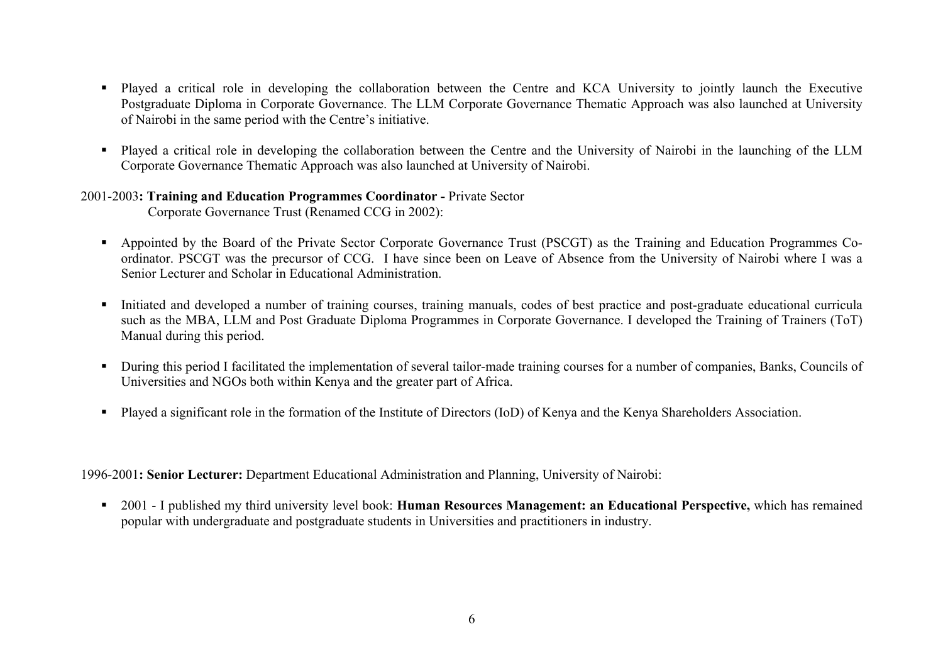- § Played a critical role in developing the collaboration between the Centre and KCA University to jointly launch the Executive Postgraduate Diploma in Corporate Governance. The LLM Corporate Governance Thematic Approach was also launched at University of Nairobi in the same period with the Centre's initiative.
- § Played a critical role in developing the collaboration between the Centre and the University of Nairobi in the launching of the LLM Corporate Governance Thematic Approach was also launched at University of Nairobi.

## 2001-2003**: Training and Education Programmes Coordinator -** Private Sector Corporate Governance Trust (Renamed CCG in 2002):

- § Appointed by the Board of the Private Sector Corporate Governance Trust (PSCGT) as the Training and Education Programmes Coordinator. PSCGT was the precursor of CCG. I have since been on Leave of Absence from the University of Nairobi where I was a Senior Lecturer and Scholar in Educational Administration.
- Initiated and developed a number of training courses, training manuals, codes of best practice and post-graduate educational curricula such as the MBA, LLM and Post Graduate Diploma Programmes in Corporate Governance. I developed the Training of Trainers (ToT) Manual during this period.
- § During this period I facilitated the implementation of several tailor-made training courses for a number of companies, Banks, Councils of Universities and NGOs both within Kenya and the greater part of Africa.
- § Played a significant role in the formation of the Institute of Directors (IoD) of Kenya and the Kenya Shareholders Association.

1996-2001**: Senior Lecturer:** Department Educational Administration and Planning, University of Nairobi:

§ 2001 - I published my third university level book: **Human Resources Management: an Educational Perspective,** which has remained popular with undergraduate and postgraduate students in Universities and practitioners in industry.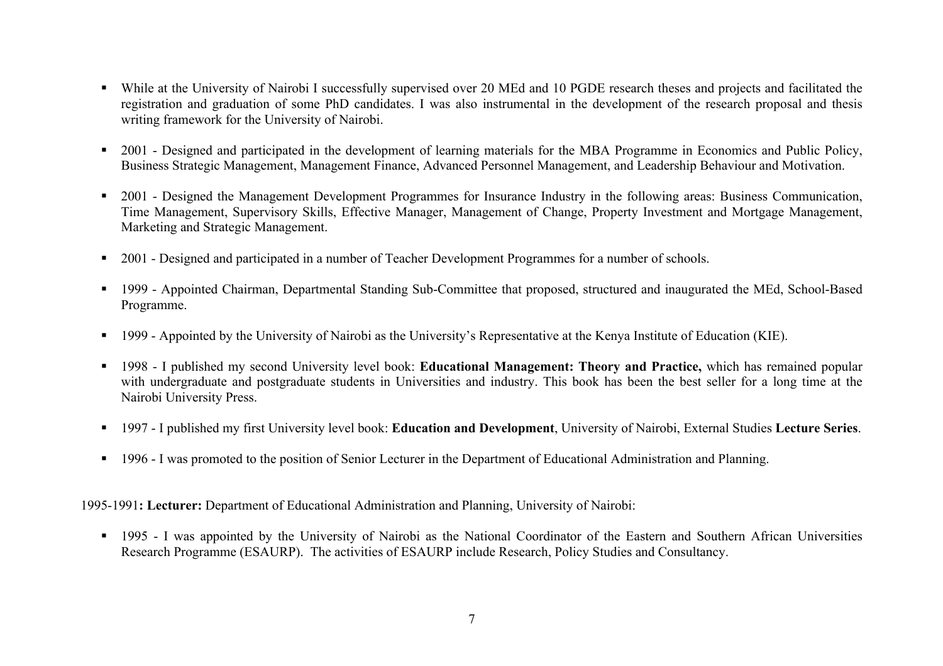- While at the University of Nairobi I successfully supervised over 20 MEd and 10 PGDE research theses and projects and facilitated the registration and graduation of some PhD candidates. I was also instrumental in the development of the research proposal and thesis writing framework for the University of Nairobi.
- 2001 Designed and participated in the development of learning materials for the MBA Programme in Economics and Public Policy, Business Strategic Management, Management Finance, Advanced Personnel Management, and Leadership Behaviour and Motivation.
- 2001 Designed the Management Development Programmes for Insurance Industry in the following areas: Business Communication, Time Management, Supervisory Skills, Effective Manager, Management of Change, Property Investment and Mortgage Management, Marketing and Strategic Management.
- 2001 Designed and participated in a number of Teacher Development Programmes for a number of schools.
- 1999 Appointed Chairman, Departmental Standing Sub-Committee that proposed, structured and inaugurated the MEd, School-Based Programme.
- § 1999 Appointed by the University of Nairobi as the University's Representative at the Kenya Institute of Education (KIE).
- § 1998 I published my second University level book: **Educational Management: Theory and Practice,** which has remained popular with undergraduate and postgraduate students in Universities and industry. This book has been the best seller for a long time at the Nairobi University Press.
- § 1997 I published my first University level book: **Education and Development**, University of Nairobi, External Studies **Lecture Series**.
- 1996 I was promoted to the position of Senior Lecturer in the Department of Educational Administration and Planning.

# 1995-1991**: Lecturer:** Department of Educational Administration and Planning, University of Nairobi:

■ 1995 - I was appointed by the University of Nairobi as the National Coordinator of the Eastern and Southern African Universities Research Programme (ESAURP). The activities of ESAURP include Research, Policy Studies and Consultancy.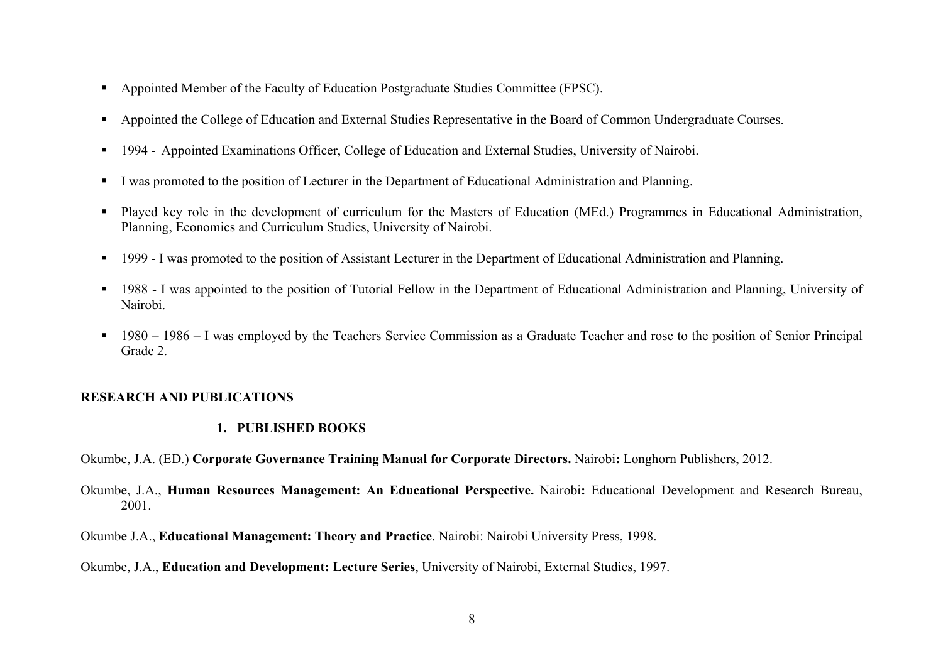- Appointed Member of the Faculty of Education Postgraduate Studies Committee (FPSC).
- § Appointed the College of Education and External Studies Representative in the Board of Common Undergraduate Courses.
- § 1994 Appointed Examinations Officer, College of Education and External Studies, University of Nairobi.
- § I was promoted to the position of Lecturer in the Department of Educational Administration and Planning.
- Played key role in the development of curriculum for the Masters of Education (MEd.) Programmes in Educational Administration, Planning, Economics and Curriculum Studies, University of Nairobi.
- 1999 I was promoted to the position of Assistant Lecturer in the Department of Educational Administration and Planning.
- 1988 I was appointed to the position of Tutorial Fellow in the Department of Educational Administration and Planning, University of Nairobi.
- § 1980 1986 I was employed by the Teachers Service Commission as a Graduate Teacher and rose to the position of Senior Principal Grade 2.

# **RESEARCH AND PUBLICATIONS**

# **1. PUBLISHED BOOKS**

Okumbe, J.A. (ED.) **Corporate Governance Training Manual for Corporate Directors.** Nairobi**:** Longhorn Publishers, 2012.

Okumbe, J.A., **Human Resources Management: An Educational Perspective.** Nairobi**:** Educational Development and Research Bureau, 2001.

Okumbe J.A., **Educational Management: Theory and Practice**. Nairobi: Nairobi University Press, 1998.

Okumbe, J.A., **Education and Development: Lecture Series**, University of Nairobi, External Studies, 1997.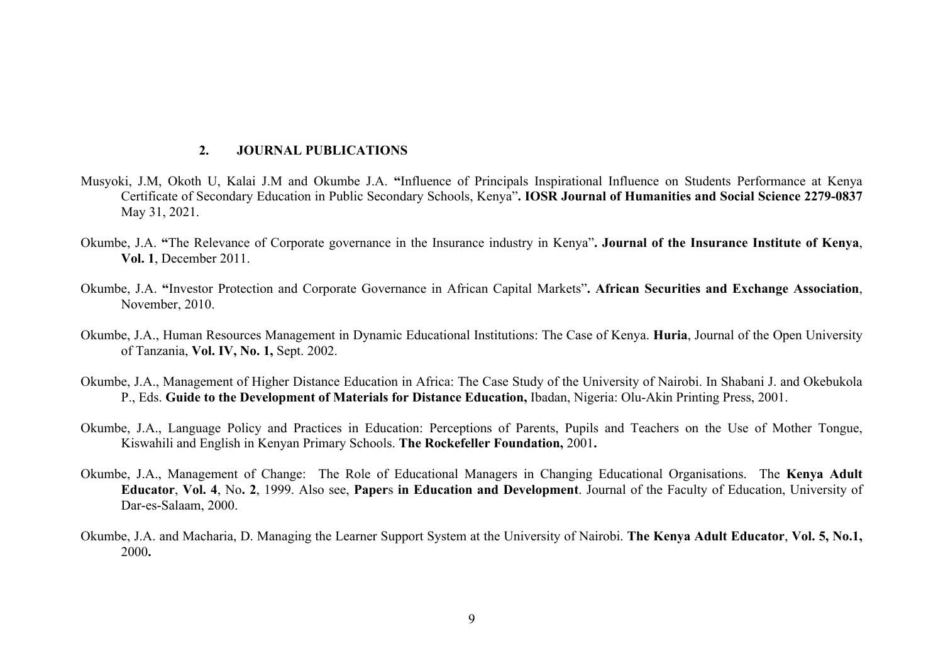#### **2. JOURNAL PUBLICATIONS**

- Musyoki, J.M, Okoth U, Kalai J.M and Okumbe J.A. **"**Influence of Principals Inspirational Influence on Students Performance at Kenya Certificate of Secondary Education in Public Secondary Schools, Kenya"**. IOSR Journal of Humanities and Social Science 2279-0837**  May 31, 2021.
- Okumbe, J.A. **"**The Relevance of Corporate governance in the Insurance industry in Kenya"**. Journal of the Insurance Institute of Kenya**, **Vol. 1**, December 2011.
- Okumbe, J.A. **"**Investor Protection and Corporate Governance in African Capital Markets"**. African Securities and Exchange Association**, November, 2010.
- Okumbe, J.A., Human Resources Management in Dynamic Educational Institutions: The Case of Kenya. **Huria**, Journal of the Open University of Tanzania, **Vol. IV, No. 1,** Sept. 2002.
- Okumbe, J.A., Management of Higher Distance Education in Africa: The Case Study of the University of Nairobi. In Shabani J. and Okebukola P., Eds. **Guide to the Development of Materials for Distance Education,** Ibadan, Nigeria: Olu-Akin Printing Press, 2001.
- Okumbe, J.A., Language Policy and Practices in Education: Perceptions of Parents, Pupils and Teachers on the Use of Mother Tongue, Kiswahili and English in Kenyan Primary Schools. **The Rockefeller Foundation,** 2001**.**
- Okumbe, J.A., Management of Change: The Role of Educational Managers in Changing Educational Organisations. The **Kenya Adult Educator**, **Vol. 4**, No**. 2**, 1999. Also see, **Paper**s **in Education and Development**. Journal of the Faculty of Education, University of Dar-es-Salaam, 2000.
- Okumbe, J.A. and Macharia, D. Managing the Learner Support System at the University of Nairobi. **The Kenya Adult Educator**, **Vol. 5, No.1,**  2000**.**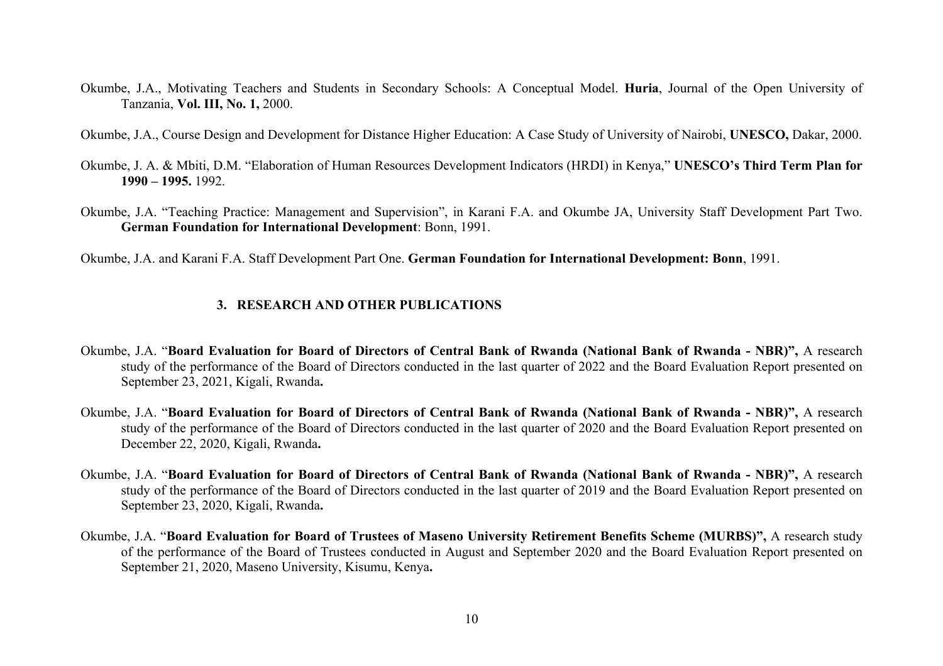- Okumbe, J.A., Motivating Teachers and Students in Secondary Schools: A Conceptual Model. **Huria**, Journal of the Open University of Tanzania, **Vol. III, No. 1,** 2000.
- Okumbe, J.A., Course Design and Development for Distance Higher Education: A Case Study of University of Nairobi, **UNESCO,** Dakar, 2000.
- Okumbe, J. A. & Mbiti, D.M. "Elaboration of Human Resources Development Indicators (HRDI) in Kenya," **UNESCO's Third Term Plan for 1990 – 1995.** 1992.
- Okumbe, J.A. "Teaching Practice: Management and Supervision", in Karani F.A. and Okumbe JA, University Staff Development Part Two. **German Foundation for International Development**: Bonn, 1991.

Okumbe, J.A. and Karani F.A. Staff Development Part One. **German Foundation for International Development: Bonn**, 1991.

# **3. RESEARCH AND OTHER PUBLICATIONS**

- Okumbe, J.A. "**Board Evaluation for Board of Directors of Central Bank of Rwanda (National Bank of Rwanda - NBR)",** A research study of the performance of the Board of Directors conducted in the last quarter of 2022 and the Board Evaluation Report presented on September 23, 2021, Kigali, Rwanda**.**
- Okumbe, J.A. "**Board Evaluation for Board of Directors of Central Bank of Rwanda (National Bank of Rwanda - NBR)",** A research study of the performance of the Board of Directors conducted in the last quarter of 2020 and the Board Evaluation Report presented on December 22, 2020, Kigali, Rwanda**.**
- Okumbe, J.A. "**Board Evaluation for Board of Directors of Central Bank of Rwanda (National Bank of Rwanda - NBR)",** A research study of the performance of the Board of Directors conducted in the last quarter of 2019 and the Board Evaluation Report presented on September 23, 2020, Kigali, Rwanda**.**
- Okumbe, J.A. "**Board Evaluation for Board of Trustees of Maseno University Retirement Benefits Scheme (MURBS)",** A research study of the performance of the Board of Trustees conducted in August and September 2020 and the Board Evaluation Report presented on September 21, 2020, Maseno University, Kisumu, Kenya**.**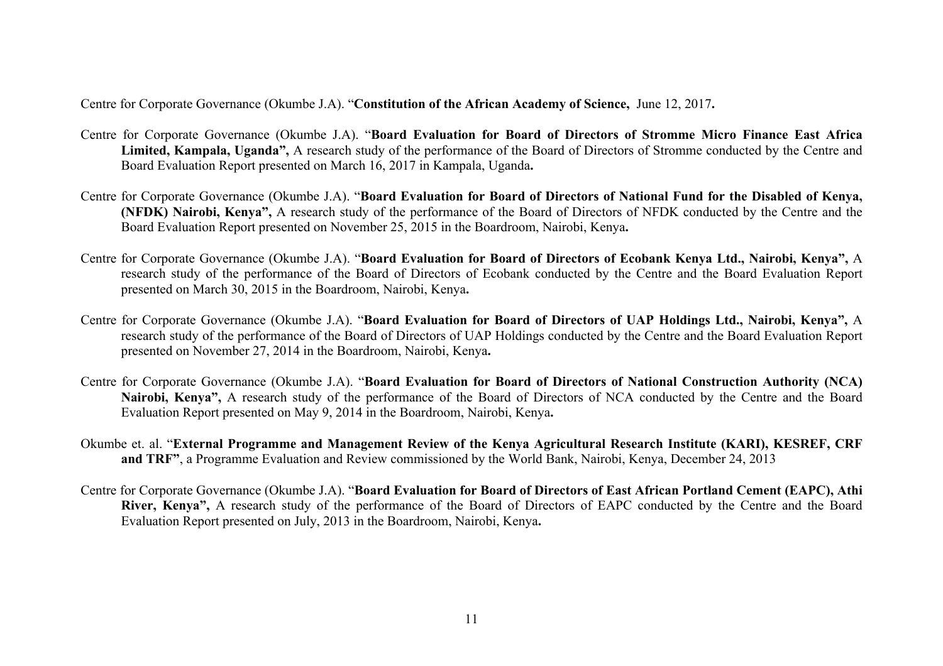Centre for Corporate Governance (Okumbe J.A). "**Constitution of the African Academy of Science,** June 12, 2017**.**

- Centre for Corporate Governance (Okumbe J.A). "**Board Evaluation for Board of Directors of Stromme Micro Finance East Africa Limited, Kampala, Uganda",** A research study of the performance of the Board of Directors of Stromme conducted by the Centre and Board Evaluation Report presented on March 16, 2017 in Kampala, Uganda**.**
- Centre for Corporate Governance (Okumbe J.A). "**Board Evaluation for Board of Directors of National Fund for the Disabled of Kenya, (NFDK) Nairobi, Kenya",** A research study of the performance of the Board of Directors of NFDK conducted by the Centre and the Board Evaluation Report presented on November 25, 2015 in the Boardroom, Nairobi, Kenya**.**
- Centre for Corporate Governance (Okumbe J.A). "**Board Evaluation for Board of Directors of Ecobank Kenya Ltd., Nairobi, Kenya",** A research study of the performance of the Board of Directors of Ecobank conducted by the Centre and the Board Evaluation Report presented on March 30, 2015 in the Boardroom, Nairobi, Kenya**.**
- Centre for Corporate Governance (Okumbe J.A). "**Board Evaluation for Board of Directors of UAP Holdings Ltd., Nairobi, Kenya",** A research study of the performance of the Board of Directors of UAP Holdings conducted by the Centre and the Board Evaluation Report presented on November 27, 2014 in the Boardroom, Nairobi, Kenya**.**
- Centre for Corporate Governance (Okumbe J.A). "**Board Evaluation for Board of Directors of National Construction Authority (NCA) Nairobi, Kenya",** A research study of the performance of the Board of Directors of NCA conducted by the Centre and the Board Evaluation Report presented on May 9, 2014 in the Boardroom, Nairobi, Kenya**.**
- Okumbe et. al. "**External Programme and Management Review of the Kenya Agricultural Research Institute (KARI), KESREF, CRF and TRF"**, a Programme Evaluation and Review commissioned by the World Bank, Nairobi, Kenya, December 24, 2013
- Centre for Corporate Governance (Okumbe J.A). "**Board Evaluation for Board of Directors of East African Portland Cement (EAPC), Athi River, Kenya",** A research study of the performance of the Board of Directors of EAPC conducted by the Centre and the Board Evaluation Report presented on July, 2013 in the Boardroom, Nairobi, Kenya**.**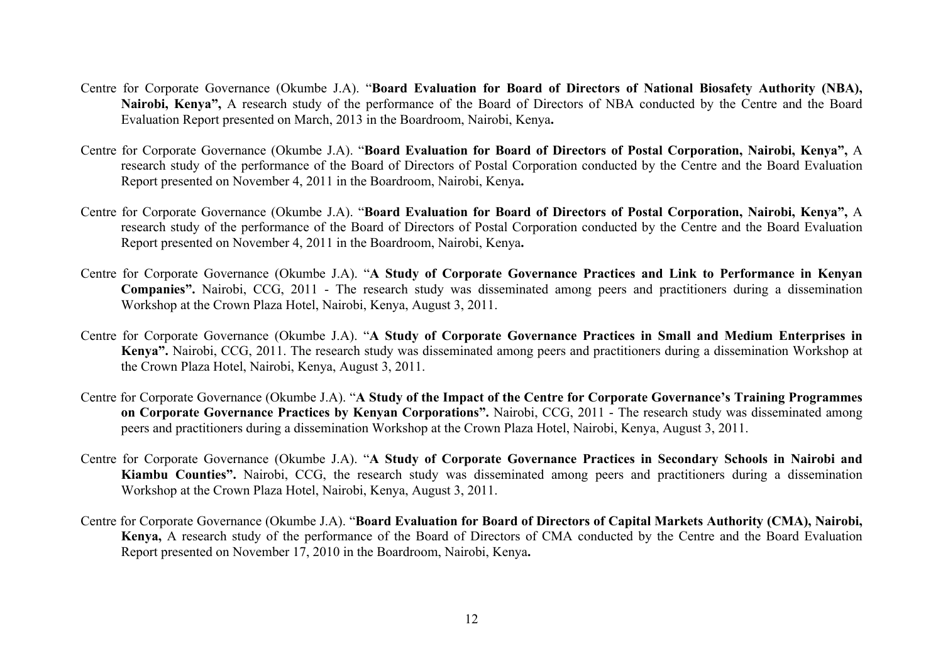- Centre for Corporate Governance (Okumbe J.A). "**Board Evaluation for Board of Directors of National Biosafety Authority (NBA), Nairobi, Kenya",** A research study of the performance of the Board of Directors of NBA conducted by the Centre and the Board Evaluation Report presented on March, 2013 in the Boardroom, Nairobi, Kenya**.**
- Centre for Corporate Governance (Okumbe J.A). "**Board Evaluation for Board of Directors of Postal Corporation, Nairobi, Kenya",** A research study of the performance of the Board of Directors of Postal Corporation conducted by the Centre and the Board Evaluation Report presented on November 4, 2011 in the Boardroom, Nairobi, Kenya**.**
- Centre for Corporate Governance (Okumbe J.A). "**Board Evaluation for Board of Directors of Postal Corporation, Nairobi, Kenya",** A research study of the performance of the Board of Directors of Postal Corporation conducted by the Centre and the Board Evaluation Report presented on November 4, 2011 in the Boardroom, Nairobi, Kenya**.**
- Centre for Corporate Governance (Okumbe J.A). "**A Study of Corporate Governance Practices and Link to Performance in Kenyan Companies".** Nairobi, CCG, 2011 - The research study was disseminated among peers and practitioners during a dissemination Workshop at the Crown Plaza Hotel, Nairobi, Kenya, August 3, 2011.
- Centre for Corporate Governance (Okumbe J.A). "**A Study of Corporate Governance Practices in Small and Medium Enterprises in Kenya".** Nairobi, CCG, 2011. The research study was disseminated among peers and practitioners during a dissemination Workshop at the Crown Plaza Hotel, Nairobi, Kenya, August 3, 2011.
- Centre for Corporate Governance (Okumbe J.A). "**A Study of the Impact of the Centre for Corporate Governance's Training Programmes on Corporate Governance Practices by Kenyan Corporations".** Nairobi, CCG, 2011 - The research study was disseminated among peers and practitioners during a dissemination Workshop at the Crown Plaza Hotel, Nairobi, Kenya, August 3, 2011.
- Centre for Corporate Governance (Okumbe J.A). "**A Study of Corporate Governance Practices in Secondary Schools in Nairobi and Kiambu Counties".** Nairobi, CCG, the research study was disseminated among peers and practitioners during a dissemination Workshop at the Crown Plaza Hotel, Nairobi, Kenya, August 3, 2011.
- Centre for Corporate Governance (Okumbe J.A). "**Board Evaluation for Board of Directors of Capital Markets Authority (CMA), Nairobi, Kenya,** A research study of the performance of the Board of Directors of CMA conducted by the Centre and the Board Evaluation Report presented on November 17, 2010 in the Boardroom, Nairobi, Kenya**.**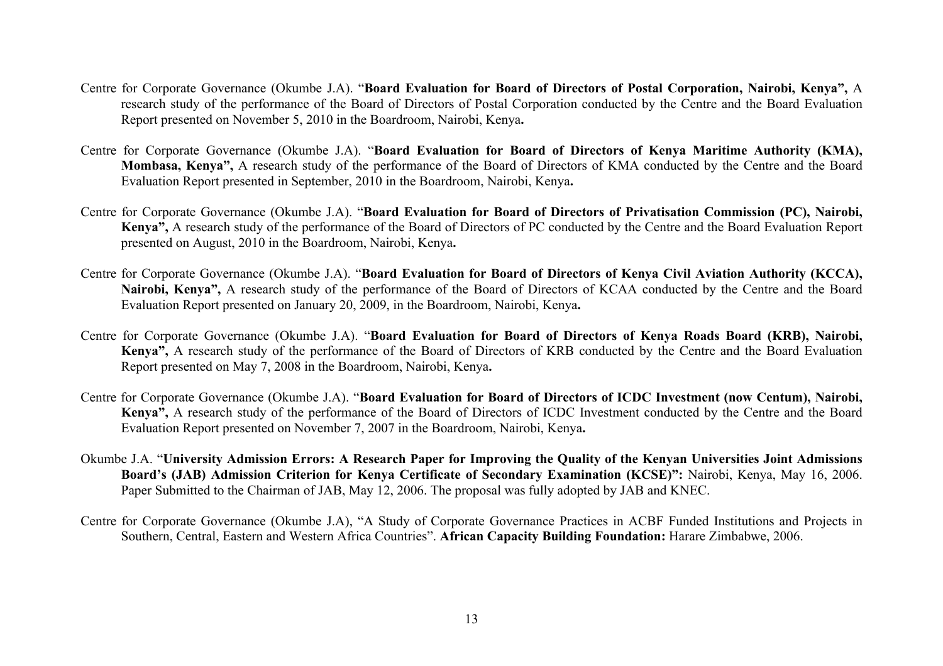- Centre for Corporate Governance (Okumbe J.A). "**Board Evaluation for Board of Directors of Postal Corporation, Nairobi, Kenya",** A research study of the performance of the Board of Directors of Postal Corporation conducted by the Centre and the Board Evaluation Report presented on November 5, 2010 in the Boardroom, Nairobi, Kenya**.**
- Centre for Corporate Governance (Okumbe J.A). "**Board Evaluation for Board of Directors of Kenya Maritime Authority (KMA), Mombasa, Kenya",** A research study of the performance of the Board of Directors of KMA conducted by the Centre and the Board Evaluation Report presented in September, 2010 in the Boardroom, Nairobi, Kenya**.**
- Centre for Corporate Governance (Okumbe J.A). "**Board Evaluation for Board of Directors of Privatisation Commission (PC), Nairobi, Kenya",** A research study of the performance of the Board of Directors of PC conducted by the Centre and the Board Evaluation Report presented on August, 2010 in the Boardroom, Nairobi, Kenya**.**
- Centre for Corporate Governance (Okumbe J.A). "**Board Evaluation for Board of Directors of Kenya Civil Aviation Authority (KCCA), Nairobi, Kenya",** A research study of the performance of the Board of Directors of KCAA conducted by the Centre and the Board Evaluation Report presented on January 20, 2009, in the Boardroom, Nairobi, Kenya**.**
- Centre for Corporate Governance (Okumbe J.A). "**Board Evaluation for Board of Directors of Kenya Roads Board (KRB), Nairobi, Kenya",** A research study of the performance of the Board of Directors of KRB conducted by the Centre and the Board Evaluation Report presented on May 7, 2008 in the Boardroom, Nairobi, Kenya**.**
- Centre for Corporate Governance (Okumbe J.A). "**Board Evaluation for Board of Directors of ICDC Investment (now Centum), Nairobi, Kenya",** A research study of the performance of the Board of Directors of ICDC Investment conducted by the Centre and the Board Evaluation Report presented on November 7, 2007 in the Boardroom, Nairobi, Kenya**.**
- Okumbe J.A. "**University Admission Errors: A Research Paper for Improving the Quality of the Kenyan Universities Joint Admissions Board's (JAB) Admission Criterion for Kenya Certificate of Secondary Examination (KCSE)":** Nairobi, Kenya, May 16, 2006. Paper Submitted to the Chairman of JAB, May 12, 2006. The proposal was fully adopted by JAB and KNEC.
- Centre for Corporate Governance (Okumbe J.A), "A Study of Corporate Governance Practices in ACBF Funded Institutions and Projects in Southern, Central, Eastern and Western Africa Countries". **African Capacity Building Foundation:** Harare Zimbabwe, 2006.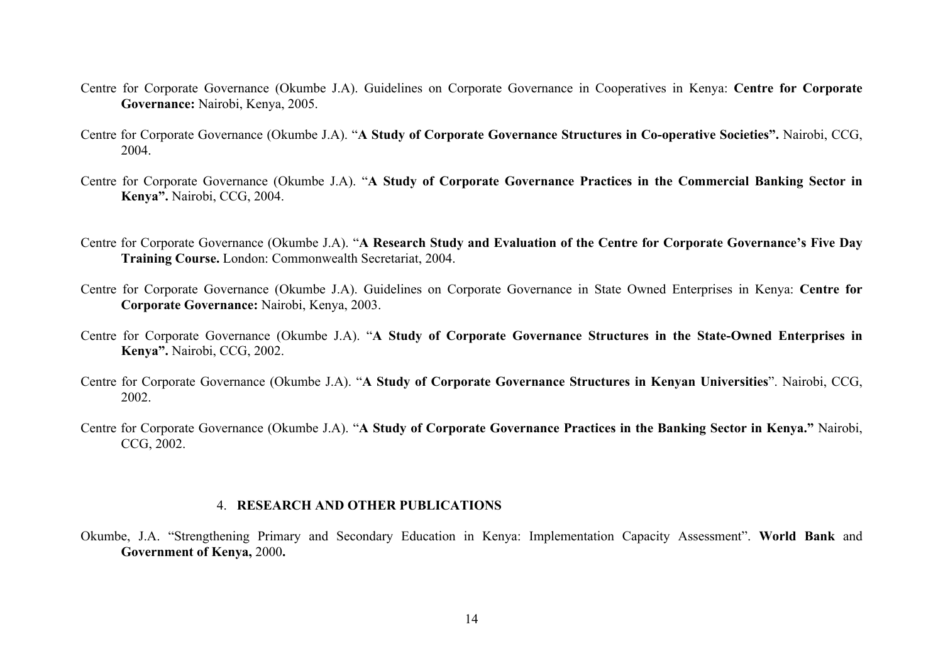- Centre for Corporate Governance (Okumbe J.A). Guidelines on Corporate Governance in Cooperatives in Kenya: **Centre for Corporate Governance:** Nairobi, Kenya, 2005.
- Centre for Corporate Governance (Okumbe J.A). "**A Study of Corporate Governance Structures in Co-operative Societies".** Nairobi, CCG, 2004.
- Centre for Corporate Governance (Okumbe J.A). "**A Study of Corporate Governance Practices in the Commercial Banking Sector in Kenya".** Nairobi, CCG, 2004.
- Centre for Corporate Governance (Okumbe J.A). "**A Research Study and Evaluation of the Centre for Corporate Governance's Five Day Training Course.** London: Commonwealth Secretariat, 2004.
- Centre for Corporate Governance (Okumbe J.A). Guidelines on Corporate Governance in State Owned Enterprises in Kenya: **Centre for Corporate Governance:** Nairobi, Kenya, 2003.
- Centre for Corporate Governance (Okumbe J.A). "**A Study of Corporate Governance Structures in the State-Owned Enterprises in Kenya".** Nairobi, CCG, 2002.
- Centre for Corporate Governance (Okumbe J.A). "**A Study of Corporate Governance Structures in Kenyan Universities**". Nairobi, CCG, 2002.
- Centre for Corporate Governance (Okumbe J.A). "**A Study of Corporate Governance Practices in the Banking Sector in Kenya."** Nairobi, CCG, 2002.

#### 4. **RESEARCH AND OTHER PUBLICATIONS**

Okumbe, J.A. "Strengthening Primary and Secondary Education in Kenya: Implementation Capacity Assessment". **World Bank** and **Government of Kenya,** 2000**.**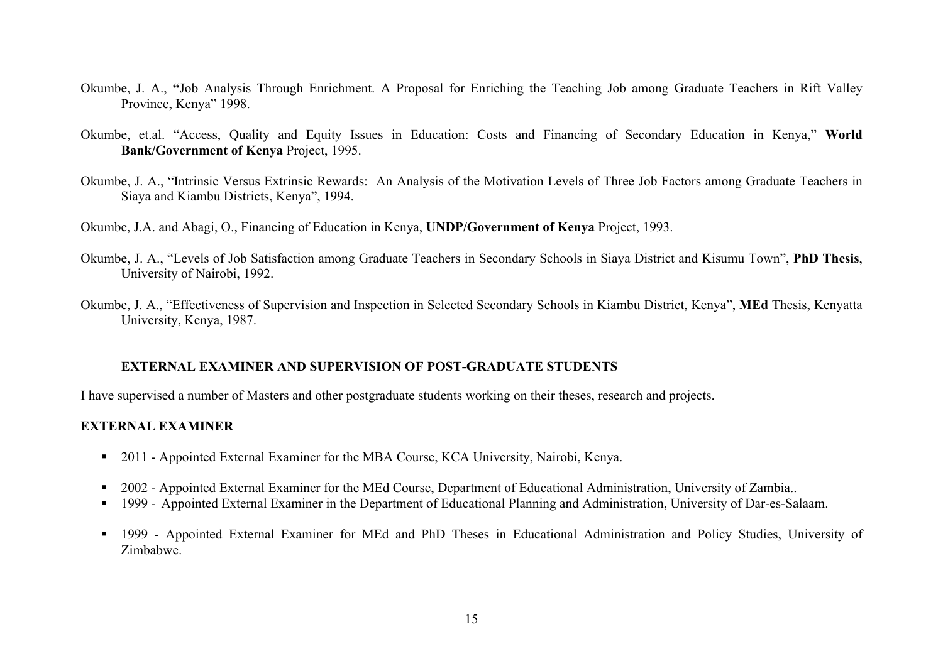- Okumbe, J. A., **"**Job Analysis Through Enrichment. A Proposal for Enriching the Teaching Job among Graduate Teachers in Rift Valley Province, Kenya" 1998.
- Okumbe, et.al. "Access, Quality and Equity Issues in Education: Costs and Financing of Secondary Education in Kenya," **World Bank/Government of Kenya** Project, 1995.
- Okumbe, J. A., "Intrinsic Versus Extrinsic Rewards: An Analysis of the Motivation Levels of Three Job Factors among Graduate Teachers in Siaya and Kiambu Districts, Kenya", 1994.
- Okumbe, J.A. and Abagi, O., Financing of Education in Kenya, **UNDP/Government of Kenya** Project, 1993.
- Okumbe, J. A., "Levels of Job Satisfaction among Graduate Teachers in Secondary Schools in Siaya District and Kisumu Town", **PhD Thesis**, University of Nairobi, 1992.
- Okumbe, J. A., "Effectiveness of Supervision and Inspection in Selected Secondary Schools in Kiambu District, Kenya", **MEd** Thesis, Kenyatta University, Kenya, 1987.

## **EXTERNAL EXAMINER AND SUPERVISION OF POST-GRADUATE STUDENTS**

I have supervised a number of Masters and other postgraduate students working on their theses, research and projects.

# **EXTERNAL EXAMINER**

- 2011 Appointed External Examiner for the MBA Course, KCA University, Nairobi, Kenya.
- 2002 Appointed External Examiner for the MEd Course, Department of Educational Administration, University of Zambia..
- § 1999 Appointed External Examiner in the Department of Educational Planning and Administration, University of Dar-es-Salaam.
- § 1999 Appointed External Examiner for MEd and PhD Theses in Educational Administration and Policy Studies, University of Zimbabwe.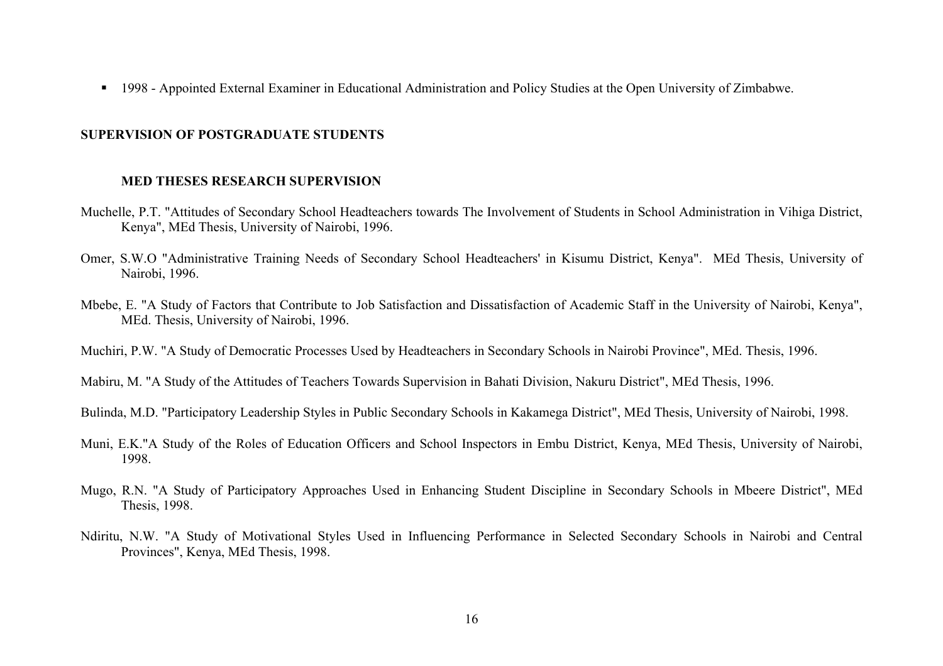§ 1998 - Appointed External Examiner in Educational Administration and Policy Studies at the Open University of Zimbabwe.

## **SUPERVISION OF POSTGRADUATE STUDENTS**

#### **MED THESES RESEARCH SUPERVISION**

- Muchelle, P.T. "Attitudes of Secondary School Headteachers towards The Involvement of Students in School Administration in Vihiga District, Kenya", MEd Thesis, University of Nairobi, 1996.
- Omer, S.W.O "Administrative Training Needs of Secondary School Headteachers' in Kisumu District, Kenya". MEd Thesis, University of Nairobi, 1996.
- Mbebe, E. "A Study of Factors that Contribute to Job Satisfaction and Dissatisfaction of Academic Staff in the University of Nairobi, Kenya", MEd. Thesis, University of Nairobi, 1996.
- Muchiri, P.W. "A Study of Democratic Processes Used by Headteachers in Secondary Schools in Nairobi Province", MEd. Thesis, 1996.
- Mabiru, M. "A Study of the Attitudes of Teachers Towards Supervision in Bahati Division, Nakuru District", MEd Thesis, 1996.
- Bulinda, M.D. "Participatory Leadership Styles in Public Secondary Schools in Kakamega District", MEd Thesis, University of Nairobi, 1998.
- Muni, E.K."A Study of the Roles of Education Officers and School Inspectors in Embu District, Kenya, MEd Thesis, University of Nairobi, 1998.
- Mugo, R.N. "A Study of Participatory Approaches Used in Enhancing Student Discipline in Secondary Schools in Mbeere District", MEd Thesis, 1998.
- Ndiritu, N.W. "A Study of Motivational Styles Used in Influencing Performance in Selected Secondary Schools in Nairobi and Central Provinces", Kenya, MEd Thesis, 1998.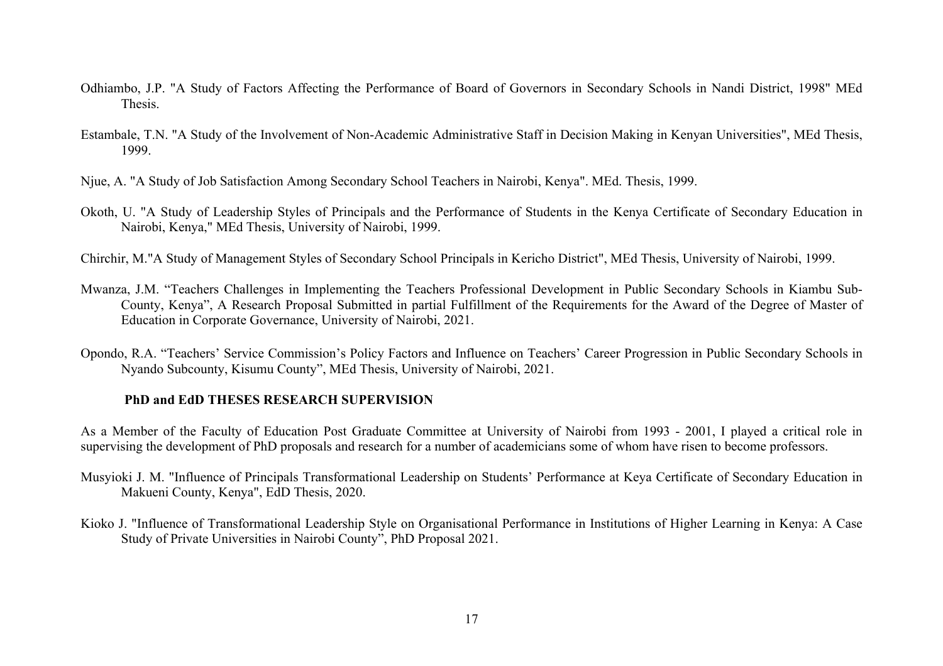- Odhiambo, J.P. "A Study of Factors Affecting the Performance of Board of Governors in Secondary Schools in Nandi District, 1998" MEd Thesis.
- Estambale, T.N. "A Study of the Involvement of Non-Academic Administrative Staff in Decision Making in Kenyan Universities", MEd Thesis, 1999.
- Njue, A. "A Study of Job Satisfaction Among Secondary School Teachers in Nairobi, Kenya". MEd. Thesis, 1999.
- Okoth, U. "A Study of Leadership Styles of Principals and the Performance of Students in the Kenya Certificate of Secondary Education in Nairobi, Kenya," MEd Thesis, University of Nairobi, 1999.
- Chirchir, M."A Study of Management Styles of Secondary School Principals in Kericho District", MEd Thesis, University of Nairobi, 1999.
- Mwanza, J.M. "Teachers Challenges in Implementing the Teachers Professional Development in Public Secondary Schools in Kiambu Sub-County, Kenya", A Research Proposal Submitted in partial Fulfillment of the Requirements for the Award of the Degree of Master of Education in Corporate Governance, University of Nairobi, 2021.
- Opondo, R.A. "Teachers' Service Commission's Policy Factors and Influence on Teachers' Career Progression in Public Secondary Schools in Nyando Subcounty, Kisumu County", MEd Thesis, University of Nairobi, 2021.

## **PhD and EdD THESES RESEARCH SUPERVISION**

As a Member of the Faculty of Education Post Graduate Committee at University of Nairobi from 1993 - 2001, I played a critical role in supervising the development of PhD proposals and research for a number of academicians some of whom have risen to become professors.

- Musyioki J. M. "Influence of Principals Transformational Leadership on Students' Performance at Keya Certificate of Secondary Education in Makueni County, Kenya", EdD Thesis, 2020.
- Kioko J. "Influence of Transformational Leadership Style on Organisational Performance in Institutions of Higher Learning in Kenya: A Case Study of Private Universities in Nairobi County", PhD Proposal 2021.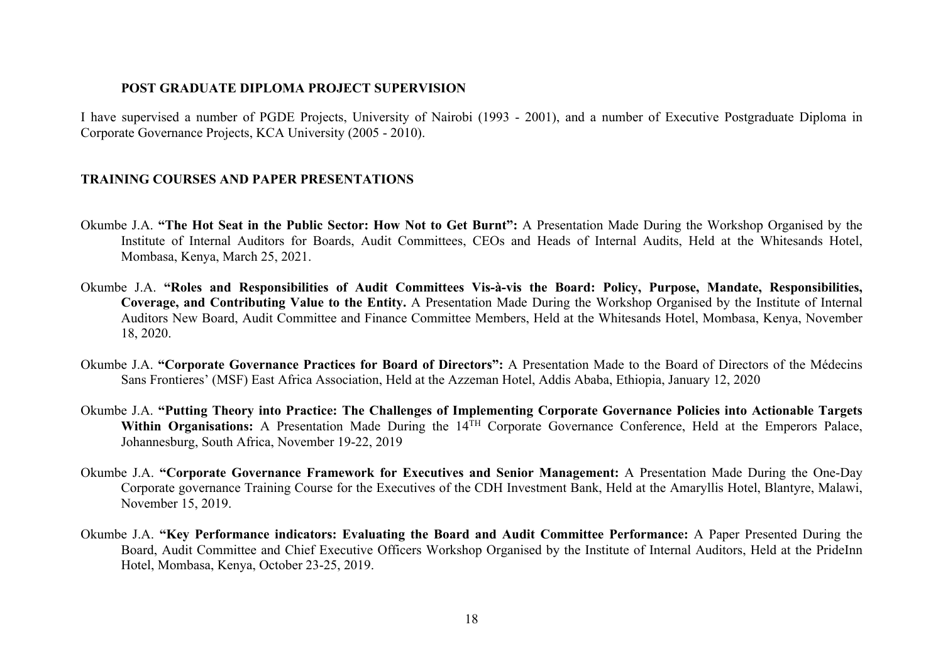## **POST GRADUATE DIPLOMA PROJECT SUPERVISION**

I have supervised a number of PGDE Projects, University of Nairobi (1993 - 2001), and a number of Executive Postgraduate Diploma in Corporate Governance Projects, KCA University (2005 - 2010).

# **TRAINING COURSES AND PAPER PRESENTATIONS**

- Okumbe J.A. **"The Hot Seat in the Public Sector: How Not to Get Burnt":** A Presentation Made During the Workshop Organised by the Institute of Internal Auditors for Boards, Audit Committees, CEOs and Heads of Internal Audits, Held at the Whitesands Hotel, Mombasa, Kenya, March 25, 2021.
- Okumbe J.A. **"Roles and Responsibilities of Audit Committees Vis-à-vis the Board: Policy, Purpose, Mandate, Responsibilities, Coverage, and Contributing Value to the Entity.** A Presentation Made During the Workshop Organised by the Institute of Internal Auditors New Board, Audit Committee and Finance Committee Members, Held at the Whitesands Hotel, Mombasa, Kenya, November 18, 2020.
- Okumbe J.A. **"Corporate Governance Practices for Board of Directors":** A Presentation Made to the Board of Directors of the Médecins Sans Frontieres' (MSF) East Africa Association, Held at the Azzeman Hotel, Addis Ababa, Ethiopia, January 12, 2020
- Okumbe J.A. **"Putting Theory into Practice: The Challenges of Implementing Corporate Governance Policies into Actionable Targets**  Within Organisations: A Presentation Made During the 14<sup>TH</sup> Corporate Governance Conference, Held at the Emperors Palace, Johannesburg, South Africa, November 19-22, 2019
- Okumbe J.A. **"Corporate Governance Framework for Executives and Senior Management:** A Presentation Made During the One-Day Corporate governance Training Course for the Executives of the CDH Investment Bank, Held at the Amaryllis Hotel, Blantyre, Malawi, November 15, 2019.
- Okumbe J.A. **"Key Performance indicators: Evaluating the Board and Audit Committee Performance:** A Paper Presented During the Board, Audit Committee and Chief Executive Officers Workshop Organised by the Institute of Internal Auditors, Held at the PrideInn Hotel, Mombasa, Kenya, October 23-25, 2019.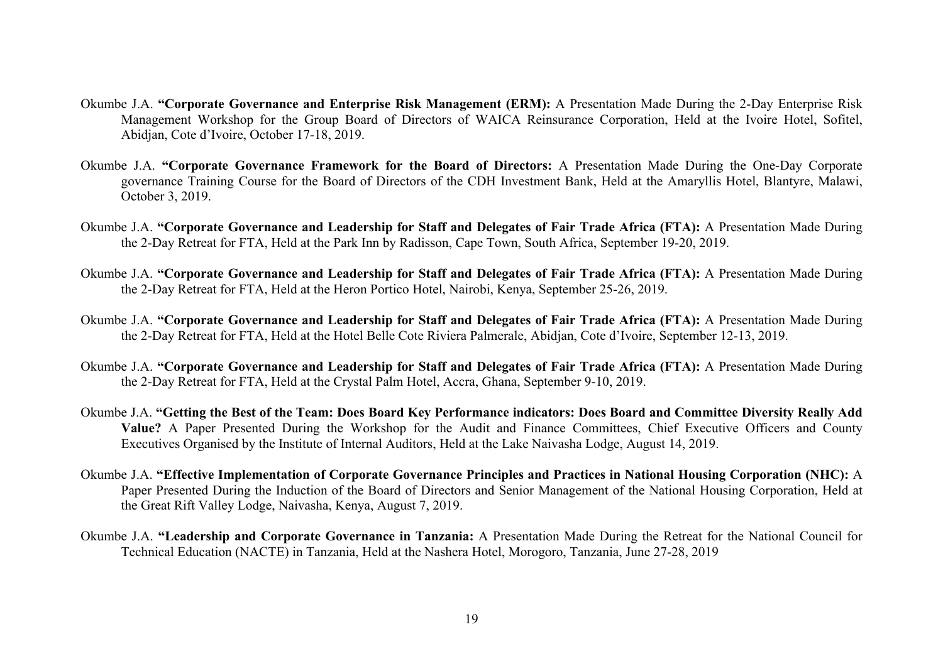- Okumbe J.A. **"Corporate Governance and Enterprise Risk Management (ERM):** A Presentation Made During the 2-Day Enterprise Risk Management Workshop for the Group Board of Directors of WAICA Reinsurance Corporation, Held at the Ivoire Hotel, Sofitel, Abidjan, Cote d'Ivoire, October 17-18, 2019.
- Okumbe J.A. **"Corporate Governance Framework for the Board of Directors:** A Presentation Made During the One-Day Corporate governance Training Course for the Board of Directors of the CDH Investment Bank, Held at the Amaryllis Hotel, Blantyre, Malawi, October 3, 2019.
- Okumbe J.A. **"Corporate Governance and Leadership for Staff and Delegates of Fair Trade Africa (FTA):** A Presentation Made During the 2-Day Retreat for FTA, Held at the Park Inn by Radisson, Cape Town, South Africa, September 19-20, 2019.
- Okumbe J.A. **"Corporate Governance and Leadership for Staff and Delegates of Fair Trade Africa (FTA):** A Presentation Made During the 2-Day Retreat for FTA, Held at the Heron Portico Hotel, Nairobi, Kenya, September 25-26, 2019.
- Okumbe J.A. **"Corporate Governance and Leadership for Staff and Delegates of Fair Trade Africa (FTA):** A Presentation Made During the 2-Day Retreat for FTA, Held at the Hotel Belle Cote Riviera Palmerale, Abidjan, Cote d'Ivoire, September 12-13, 2019.
- Okumbe J.A. **"Corporate Governance and Leadership for Staff and Delegates of Fair Trade Africa (FTA):** A Presentation Made During the 2-Day Retreat for FTA, Held at the Crystal Palm Hotel, Accra, Ghana, September 9-10, 2019.
- Okumbe J.A. **"Getting the Best of the Team: Does Board Key Performance indicators: Does Board and Committee Diversity Really Add Value?** A Paper Presented During the Workshop for the Audit and Finance Committees, Chief Executive Officers and County Executives Organised by the Institute of Internal Auditors, Held at the Lake Naivasha Lodge, August 14, 2019.
- Okumbe J.A. **"Effective Implementation of Corporate Governance Principles and Practices in National Housing Corporation (NHC):** A Paper Presented During the Induction of the Board of Directors and Senior Management of the National Housing Corporation, Held at the Great Rift Valley Lodge, Naivasha, Kenya, August 7, 2019.
- Okumbe J.A. **"Leadership and Corporate Governance in Tanzania:** A Presentation Made During the Retreat for the National Council for Technical Education (NACTE) in Tanzania, Held at the Nashera Hotel, Morogoro, Tanzania, June 27-28, 2019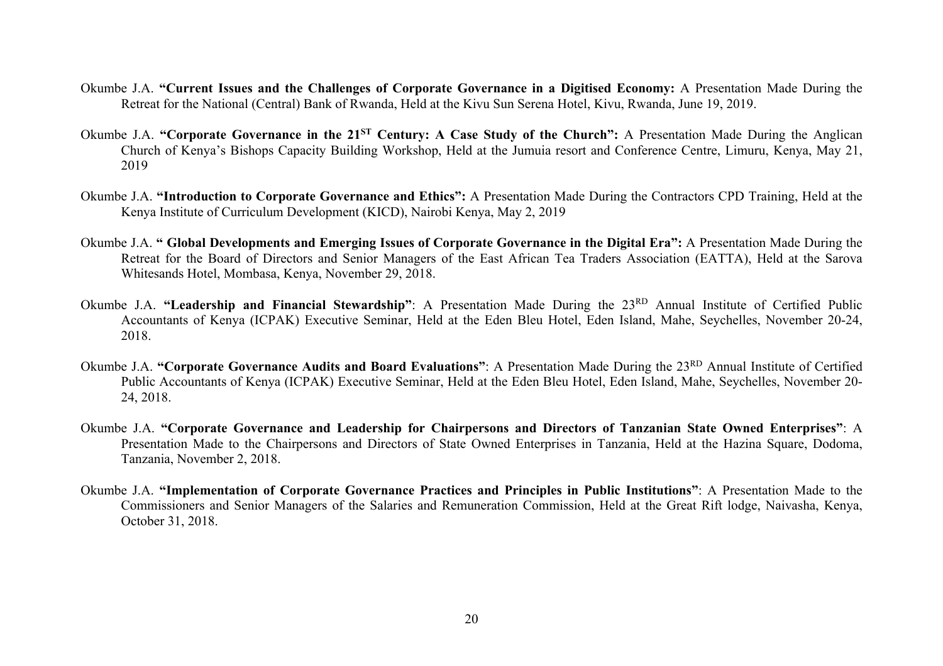- Okumbe J.A. **"Current Issues and the Challenges of Corporate Governance in a Digitised Economy:** A Presentation Made During the Retreat for the National (Central) Bank of Rwanda, Held at the Kivu Sun Serena Hotel, Kivu, Rwanda, June 19, 2019.
- Okumbe J.A. **"Corporate Governance in the 21ST Century: A Case Study of the Church":** A Presentation Made During the Anglican Church of Kenya's Bishops Capacity Building Workshop, Held at the Jumuia resort and Conference Centre, Limuru, Kenya, May 21, 2019
- Okumbe J.A. **"Introduction to Corporate Governance and Ethics":** A Presentation Made During the Contractors CPD Training, Held at the Kenya Institute of Curriculum Development (KICD), Nairobi Kenya, May 2, 2019
- Okumbe J.A. **" Global Developments and Emerging Issues of Corporate Governance in the Digital Era":** A Presentation Made During the Retreat for the Board of Directors and Senior Managers of the East African Tea Traders Association (EATTA), Held at the Sarova Whitesands Hotel, Mombasa, Kenya, November 29, 2018.
- Okumbe J.A. **"Leadership and Financial Stewardship"**: A Presentation Made During the 23RD Annual Institute of Certified Public Accountants of Kenya (ICPAK) Executive Seminar, Held at the Eden Bleu Hotel, Eden Island, Mahe, Seychelles, November 20-24, 2018.
- Okumbe J.A. **"Corporate Governance Audits and Board Evaluations"**: A Presentation Made During the 23RD Annual Institute of Certified Public Accountants of Kenya (ICPAK) Executive Seminar, Held at the Eden Bleu Hotel, Eden Island, Mahe, Seychelles, November 20- 24, 2018.
- Okumbe J.A. **"Corporate Governance and Leadership for Chairpersons and Directors of Tanzanian State Owned Enterprises"**: A Presentation Made to the Chairpersons and Directors of State Owned Enterprises in Tanzania, Held at the Hazina Square, Dodoma, Tanzania, November 2, 2018.
- Okumbe J.A. **"Implementation of Corporate Governance Practices and Principles in Public Institutions"**: A Presentation Made to the Commissioners and Senior Managers of the Salaries and Remuneration Commission, Held at the Great Rift lodge, Naivasha, Kenya, October 31, 2018.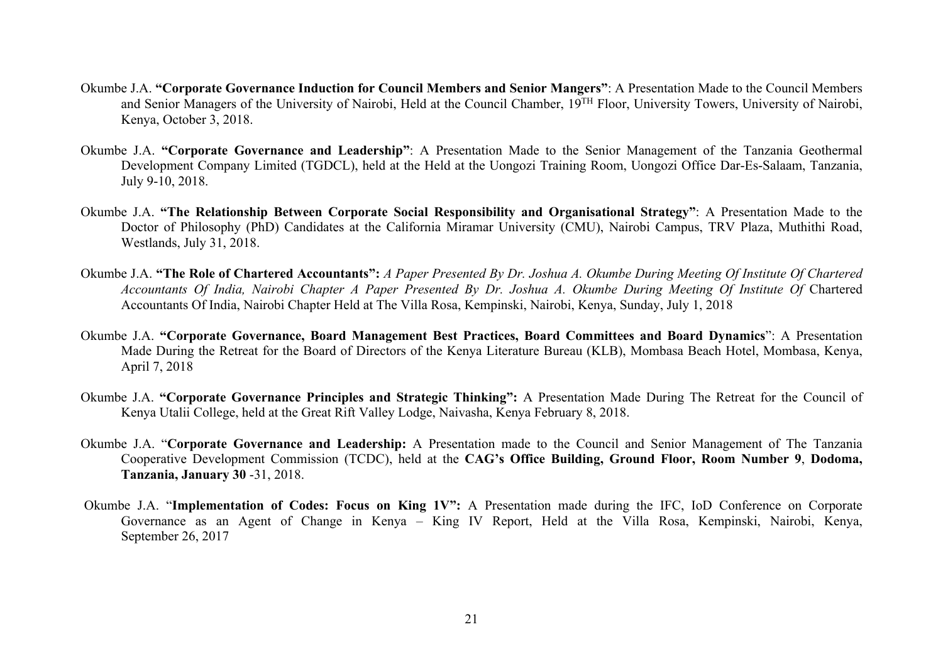- Okumbe J.A. **"Corporate Governance Induction for Council Members and Senior Mangers"**: A Presentation Made to the Council Members and Senior Managers of the University of Nairobi, Held at the Council Chamber, 19TH Floor, University Towers, University of Nairobi, Kenya, October 3, 2018.
- Okumbe J.A. **"Corporate Governance and Leadership"**: A Presentation Made to the Senior Management of the Tanzania Geothermal Development Company Limited (TGDCL), held at the Held at the Uongozi Training Room, Uongozi Office Dar-Es-Salaam, Tanzania, July 9-10, 2018.
- Okumbe J.A. **"The Relationship Between Corporate Social Responsibility and Organisational Strategy"**: A Presentation Made to the Doctor of Philosophy (PhD) Candidates at the California Miramar University (CMU), Nairobi Campus, TRV Plaza, Muthithi Road, Westlands, July 31, 2018.
- Okumbe J.A. **"The Role of Chartered Accountants":** *A Paper Presented By Dr. Joshua A. Okumbe During Meeting Of Institute Of Chartered Accountants Of India, Nairobi Chapter A Paper Presented By Dr. Joshua A. Okumbe During Meeting Of Institute Of* Chartered Accountants Of India, Nairobi Chapter Held at The Villa Rosa, Kempinski, Nairobi, Kenya, Sunday, July 1, 2018
- Okumbe J.A. **"Corporate Governance, Board Management Best Practices, Board Committees and Board Dynamics**": A Presentation Made During the Retreat for the Board of Directors of the Kenya Literature Bureau (KLB), Mombasa Beach Hotel, Mombasa, Kenya, April 7, 2018
- Okumbe J.A. **"Corporate Governance Principles and Strategic Thinking":** A Presentation Made During The Retreat for the Council of Kenya Utalii College, held at the Great Rift Valley Lodge, Naivasha, Kenya February 8, 2018.
- Okumbe J.A. "**Corporate Governance and Leadership:** A Presentation made to the Council and Senior Management of The Tanzania Cooperative Development Commission (TCDC), held at the **CAG's Office Building, Ground Floor, Room Number 9**, **Dodoma, Tanzania, January 30** -31, 2018.
- Okumbe J.A. "**Implementation of Codes: Focus on King 1V":** A Presentation made during the IFC, IoD Conference on Corporate Governance as an Agent of Change in Kenya – King IV Report, Held at the Villa Rosa, Kempinski, Nairobi, Kenya, September 26, 2017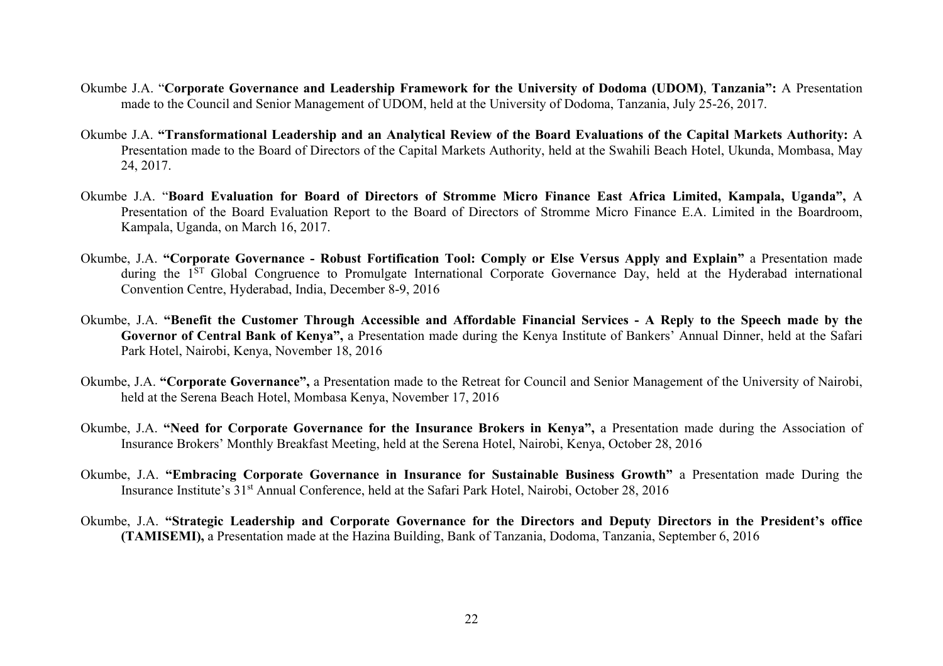- Okumbe J.A. "**Corporate Governance and Leadership Framework for the University of Dodoma (UDOM)**, **Tanzania":** A Presentation made to the Council and Senior Management of UDOM, held at the University of Dodoma, Tanzania, July 25-26, 2017.
- Okumbe J.A. **"Transformational Leadership and an Analytical Review of the Board Evaluations of the Capital Markets Authority:** A Presentation made to the Board of Directors of the Capital Markets Authority, held at the Swahili Beach Hotel, Ukunda, Mombasa, May 24, 2017.
- Okumbe J.A. "**Board Evaluation for Board of Directors of Stromme Micro Finance East Africa Limited, Kampala, Uganda",** A Presentation of the Board Evaluation Report to the Board of Directors of Stromme Micro Finance E.A. Limited in the Boardroom, Kampala, Uganda, on March 16, 2017.
- Okumbe, J.A. **"Corporate Governance - Robust Fortification Tool: Comply or Else Versus Apply and Explain"** a Presentation made during the 1<sup>ST</sup> Global Congruence to Promulgate International Corporate Governance Day, held at the Hyderabad international Convention Centre, Hyderabad, India, December 8-9, 2016
- Okumbe, J.A. **"Benefit the Customer Through Accessible and Affordable Financial Services - A Reply to the Speech made by the Governor of Central Bank of Kenya",** a Presentation made during the Kenya Institute of Bankers' Annual Dinner, held at the Safari Park Hotel, Nairobi, Kenya, November 18, 2016
- Okumbe, J.A. **"Corporate Governance",** a Presentation made to the Retreat for Council and Senior Management of the University of Nairobi, held at the Serena Beach Hotel, Mombasa Kenya, November 17, 2016
- Okumbe, J.A. **"Need for Corporate Governance for the Insurance Brokers in Kenya",** a Presentation made during the Association of Insurance Brokers' Monthly Breakfast Meeting, held at the Serena Hotel, Nairobi, Kenya, October 28, 2016
- Okumbe, J.A. **"Embracing Corporate Governance in Insurance for Sustainable Business Growth"** a Presentation made During the Insurance Institute's 31st Annual Conference, held at the Safari Park Hotel, Nairobi, October 28, 2016
- Okumbe, J.A. **"Strategic Leadership and Corporate Governance for the Directors and Deputy Directors in the President's office (TAMISEMI),** a Presentation made at the Hazina Building, Bank of Tanzania, Dodoma, Tanzania, September 6, 2016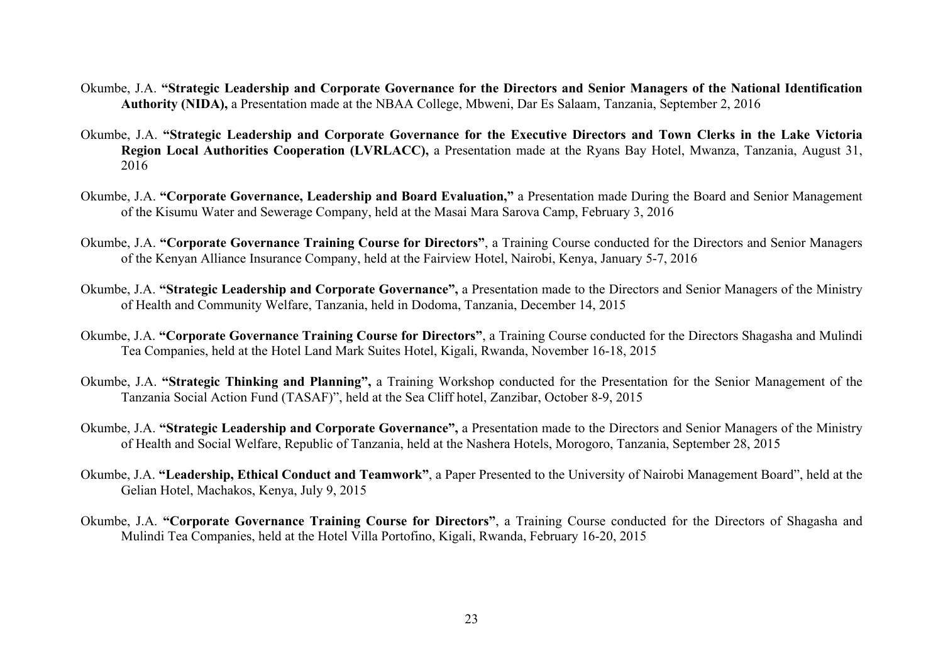- Okumbe, J.A. **"Strategic Leadership and Corporate Governance for the Directors and Senior Managers of the National Identification Authority (NIDA),** a Presentation made at the NBAA College, Mbweni, Dar Es Salaam, Tanzania, September 2, 2016
- Okumbe, J.A. **"Strategic Leadership and Corporate Governance for the Executive Directors and Town Clerks in the Lake Victoria Region Local Authorities Cooperation (LVRLACC),** a Presentation made at the Ryans Bay Hotel, Mwanza, Tanzania, August 31, 2016
- Okumbe, J.A. **"Corporate Governance, Leadership and Board Evaluation,"** a Presentation made During the Board and Senior Management of the Kisumu Water and Sewerage Company, held at the Masai Mara Sarova Camp, February 3, 2016
- Okumbe, J.A. **"Corporate Governance Training Course for Directors"**, a Training Course conducted for the Directors and Senior Managers of the Kenyan Alliance Insurance Company, held at the Fairview Hotel, Nairobi, Kenya, January 5-7, 2016
- Okumbe, J.A. **"Strategic Leadership and Corporate Governance",** a Presentation made to the Directors and Senior Managers of the Ministry of Health and Community Welfare, Tanzania, held in Dodoma, Tanzania, December 14, 2015
- Okumbe, J.A. **"Corporate Governance Training Course for Directors"**, a Training Course conducted for the Directors Shagasha and Mulindi Tea Companies, held at the Hotel Land Mark Suites Hotel, Kigali, Rwanda, November 16-18, 2015
- Okumbe, J.A. **"Strategic Thinking and Planning",** a Training Workshop conducted for the Presentation for the Senior Management of the Tanzania Social Action Fund (TASAF)", held at the Sea Cliff hotel, Zanzibar, October 8-9, 2015
- Okumbe, J.A. **"Strategic Leadership and Corporate Governance",** a Presentation made to the Directors and Senior Managers of the Ministry of Health and Social Welfare, Republic of Tanzania, held at the Nashera Hotels, Morogoro, Tanzania, September 28, 2015
- Okumbe, J.A. **"Leadership, Ethical Conduct and Teamwork"**, a Paper Presented to the University of Nairobi Management Board", held at the Gelian Hotel, Machakos, Kenya, July 9, 2015
- Okumbe, J.A. **"Corporate Governance Training Course for Directors"**, a Training Course conducted for the Directors of Shagasha and Mulindi Tea Companies, held at the Hotel Villa Portofino, Kigali, Rwanda, February 16-20, 2015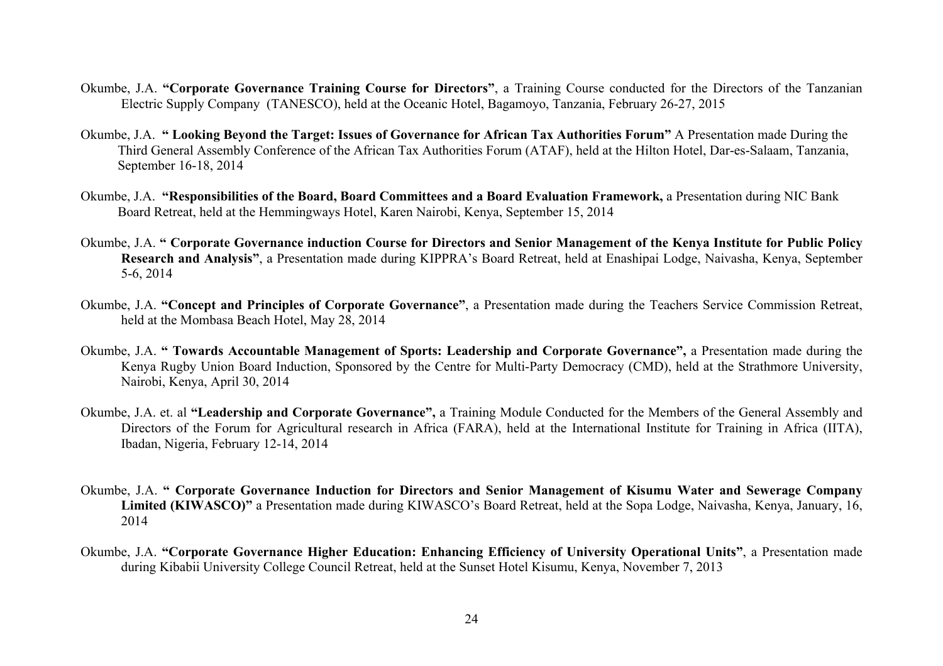- Okumbe, J.A. **"Corporate Governance Training Course for Directors"**, a Training Course conducted for the Directors of the Tanzanian Electric Supply Company (TANESCO), held at the Oceanic Hotel, Bagamoyo, Tanzania, February 26-27, 2015
- Okumbe, J.A. **" Looking Beyond the Target: Issues of Governance for African Tax Authorities Forum"** A Presentation made During the Third General Assembly Conference of the African Tax Authorities Forum (ATAF), held at the Hilton Hotel, Dar-es-Salaam, Tanzania, September 16-18, 2014
- Okumbe, J.A. **"Responsibilities of the Board, Board Committees and a Board Evaluation Framework,** a Presentation during NIC Bank Board Retreat, held at the Hemmingways Hotel, Karen Nairobi, Kenya, September 15, 2014
- Okumbe, J.A. **" Corporate Governance induction Course for Directors and Senior Management of the Kenya Institute for Public Policy Research and Analysis"**, a Presentation made during KIPPRA's Board Retreat, held at Enashipai Lodge, Naivasha, Kenya, September 5-6, 2014
- Okumbe, J.A. **"Concept and Principles of Corporate Governance"**, a Presentation made during the Teachers Service Commission Retreat, held at the Mombasa Beach Hotel, May 28, 2014
- Okumbe, J.A. **" Towards Accountable Management of Sports: Leadership and Corporate Governance",** a Presentation made during the Kenya Rugby Union Board Induction, Sponsored by the Centre for Multi-Party Democracy (CMD), held at the Strathmore University, Nairobi, Kenya, April 30, 2014
- Okumbe, J.A. et. al **"Leadership and Corporate Governance",** a Training Module Conducted for the Members of the General Assembly and Directors of the Forum for Agricultural research in Africa (FARA), held at the International Institute for Training in Africa (IITA), Ibadan, Nigeria, February 12-14, 2014
- Okumbe, J.A. **" Corporate Governance Induction for Directors and Senior Management of Kisumu Water and Sewerage Company Limited (KIWASCO)"** a Presentation made during KIWASCO's Board Retreat, held at the Sopa Lodge, Naivasha, Kenya, January, 16, 2014
- Okumbe, J.A. **"Corporate Governance Higher Education: Enhancing Efficiency of University Operational Units"**, a Presentation made during Kibabii University College Council Retreat, held at the Sunset Hotel Kisumu, Kenya, November 7, 2013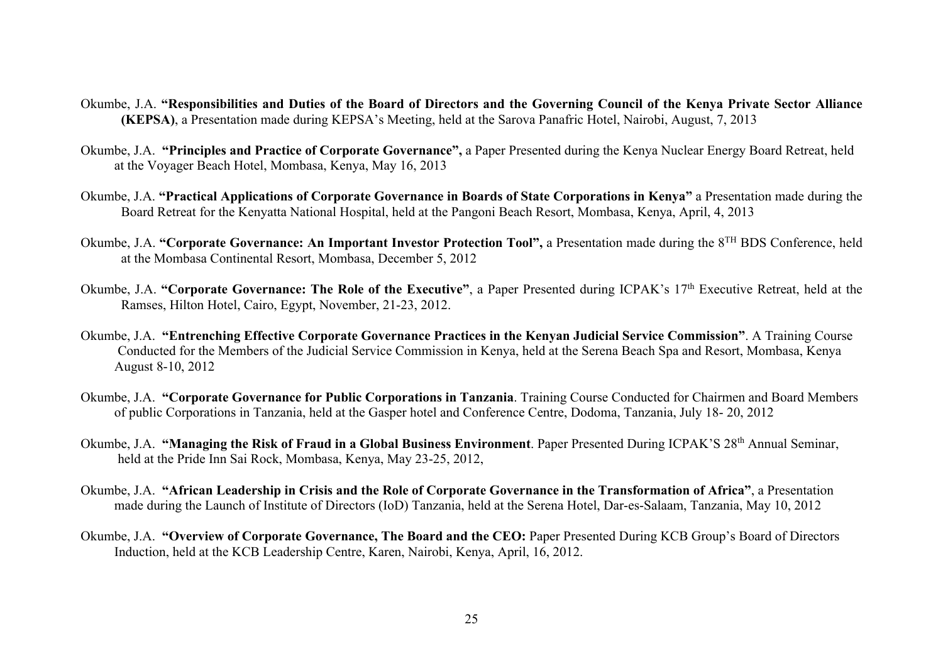- Okumbe, J.A. **"Responsibilities and Duties of the Board of Directors and the Governing Council of the Kenya Private Sector Alliance (KEPSA)**, a Presentation made during KEPSA's Meeting, held at the Sarova Panafric Hotel, Nairobi, August, 7, 2013
- Okumbe, J.A. **"Principles and Practice of Corporate Governance",** a Paper Presented during the Kenya Nuclear Energy Board Retreat, held at the Voyager Beach Hotel, Mombasa, Kenya, May 16, 2013
- Okumbe, J.A. **"Practical Applications of Corporate Governance in Boards of State Corporations in Kenya"** a Presentation made during the Board Retreat for the Kenyatta National Hospital, held at the Pangoni Beach Resort, Mombasa, Kenya, April, 4, 2013
- Okumbe, J.A. **"Corporate Governance: An Important Investor Protection Tool",** a Presentation made during the 8TH BDS Conference, held at the Mombasa Continental Resort, Mombasa, December 5, 2012
- Okumbe, J.A. **"Corporate Governance: The Role of the Executive"**, a Paper Presented during ICPAK's 17th Executive Retreat, held at the Ramses, Hilton Hotel, Cairo, Egypt, November, 21-23, 2012.
- Okumbe, J.A. **"Entrenching Effective Corporate Governance Practices in the Kenyan Judicial Service Commission"**. A Training Course Conducted for the Members of the Judicial Service Commission in Kenya, held at the Serena Beach Spa and Resort, Mombasa, Kenya August 8-10, 2012
- Okumbe, J.A. **"Corporate Governance for Public Corporations in Tanzania**. Training Course Conducted for Chairmen and Board Members of public Corporations in Tanzania, held at the Gasper hotel and Conference Centre, Dodoma, Tanzania, July 18- 20, 2012
- Okumbe, J.A. **"Managing the Risk of Fraud in a Global Business Environment**. Paper Presented During ICPAK'S 28th Annual Seminar, held at the Pride Inn Sai Rock, Mombasa, Kenya, May 23-25, 2012,
- Okumbe, J.A. **"African Leadership in Crisis and the Role of Corporate Governance in the Transformation of Africa"**, a Presentation made during the Launch of Institute of Directors (IoD) Tanzania, held at the Serena Hotel, Dar-es-Salaam, Tanzania, May 10, 2012
- Okumbe, J.A. **"Overview of Corporate Governance, The Board and the CEO:** Paper Presented During KCB Group's Board of Directors Induction, held at the KCB Leadership Centre, Karen, Nairobi, Kenya, April, 16, 2012.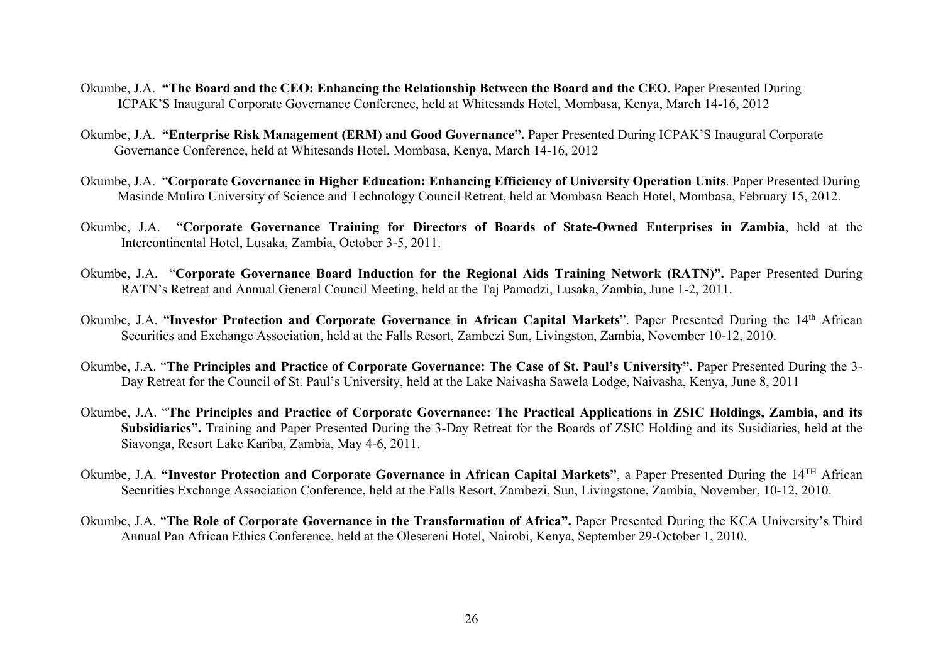- Okumbe, J.A. **"The Board and the CEO: Enhancing the Relationship Between the Board and the CEO**. Paper Presented During ICPAK'S Inaugural Corporate Governance Conference, held at Whitesands Hotel, Mombasa, Kenya, March 14-16, 2012
- Okumbe, J.A. **"Enterprise Risk Management (ERM) and Good Governance".** Paper Presented During ICPAK'S Inaugural Corporate Governance Conference, held at Whitesands Hotel, Mombasa, Kenya, March 14-16, 2012
- Okumbe, J.A. "**Corporate Governance in Higher Education: Enhancing Efficiency of University Operation Units**. Paper Presented During Masinde Muliro University of Science and Technology Council Retreat, held at Mombasa Beach Hotel, Mombasa, February 15, 2012.
- Okumbe, J.A. "**Corporate Governance Training for Directors of Boards of State-Owned Enterprises in Zambia**, held at the Intercontinental Hotel, Lusaka, Zambia, October 3-5, 2011.
- Okumbe, J.A. "**Corporate Governance Board Induction for the Regional Aids Training Network (RATN)".** Paper Presented During RATN's Retreat and Annual General Council Meeting, held at the Taj Pamodzi, Lusaka, Zambia, June 1-2, 2011.
- Okumbe, J.A. "Investor Protection and Corporate Governance in African Capital Markets". Paper Presented During the 14<sup>th</sup> African Securities and Exchange Association, held at the Falls Resort, Zambezi Sun, Livingston, Zambia, November 10-12, 2010.
- Okumbe, J.A. "**The Principles and Practice of Corporate Governance: The Case of St. Paul's University".** Paper Presented During the 3- Day Retreat for the Council of St. Paul's University, held at the Lake Naivasha Sawela Lodge, Naivasha, Kenya, June 8, 2011
- Okumbe, J.A. "**The Principles and Practice of Corporate Governance: The Practical Applications in ZSIC Holdings, Zambia, and its Subsidiaries".** Training and Paper Presented During the 3-Day Retreat for the Boards of ZSIC Holding and its Susidiaries, held at the Siavonga, Resort Lake Kariba, Zambia, May 4-6, 2011.
- Okumbe, J.A. **"Investor Protection and Corporate Governance in African Capital Markets"**, a Paper Presented During the 14TH African Securities Exchange Association Conference, held at the Falls Resort, Zambezi, Sun, Livingstone, Zambia, November, 10-12, 2010.
- Okumbe, J.A. "**The Role of Corporate Governance in the Transformation of Africa".** Paper Presented During the KCA University's Third Annual Pan African Ethics Conference, held at the Olesereni Hotel, Nairobi, Kenya, September 29-October 1, 2010.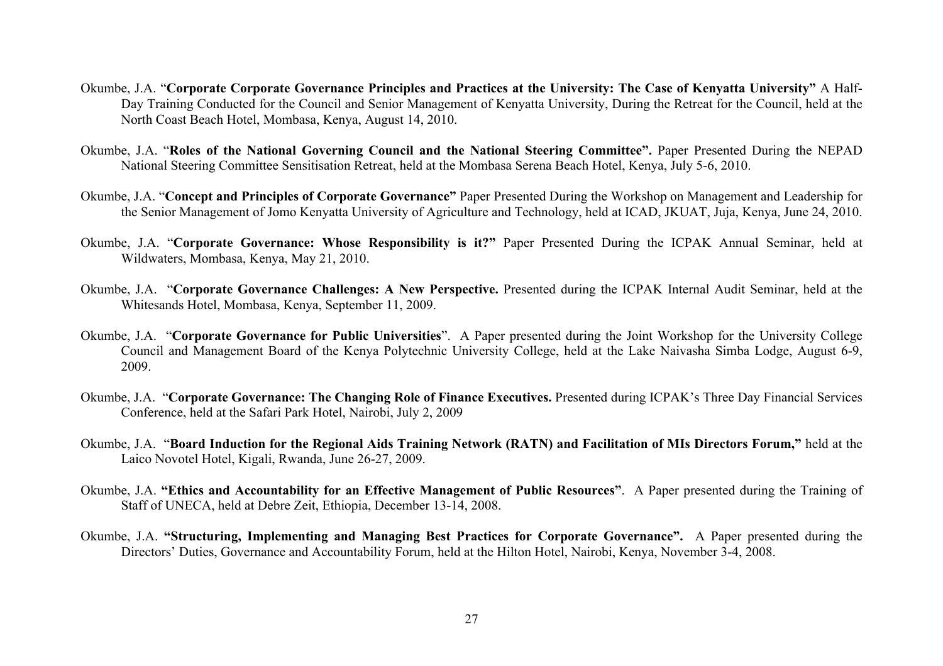- Okumbe, J.A. "**Corporate Corporate Governance Principles and Practices at the University: The Case of Kenyatta University"** A Half-Day Training Conducted for the Council and Senior Management of Kenyatta University, During the Retreat for the Council, held at the North Coast Beach Hotel, Mombasa, Kenya, August 14, 2010.
- Okumbe, J.A. "**Roles of the National Governing Council and the National Steering Committee".** Paper Presented During the NEPAD National Steering Committee Sensitisation Retreat, held at the Mombasa Serena Beach Hotel, Kenya, July 5-6, 2010.
- Okumbe, J.A. "**Concept and Principles of Corporate Governance"** Paper Presented During the Workshop on Management and Leadership for the Senior Management of Jomo Kenyatta University of Agriculture and Technology, held at ICAD, JKUAT, Juja, Kenya, June 24, 2010.
- Okumbe, J.A. "**Corporate Governance: Whose Responsibility is it?"** Paper Presented During the ICPAK Annual Seminar, held at Wildwaters, Mombasa, Kenya, May 21, 2010.
- Okumbe, J.A. "**Corporate Governance Challenges: A New Perspective.** Presented during the ICPAK Internal Audit Seminar, held at the Whitesands Hotel, Mombasa, Kenya, September 11, 2009.
- Okumbe, J.A. "**Corporate Governance for Public Universities**". A Paper presented during the Joint Workshop for the University College Council and Management Board of the Kenya Polytechnic University College, held at the Lake Naivasha Simba Lodge, August 6-9, 2009.
- Okumbe, J.A. "**Corporate Governance: The Changing Role of Finance Executives.** Presented during ICPAK's Three Day Financial Services Conference, held at the Safari Park Hotel, Nairobi, July 2, 2009
- Okumbe, J.A. "**Board Induction for the Regional Aids Training Network (RATN) and Facilitation of MIs Directors Forum,"** held at the Laico Novotel Hotel, Kigali, Rwanda, June 26-27, 2009.
- Okumbe, J.A. **"Ethics and Accountability for an Effective Management of Public Resources"**. A Paper presented during the Training of Staff of UNECA, held at Debre Zeit, Ethiopia, December 13-14, 2008.
- Okumbe, J.A. **"Structuring, Implementing and Managing Best Practices for Corporate Governance".** A Paper presented during the Directors' Duties, Governance and Accountability Forum, held at the Hilton Hotel, Nairobi, Kenya, November 3-4, 2008.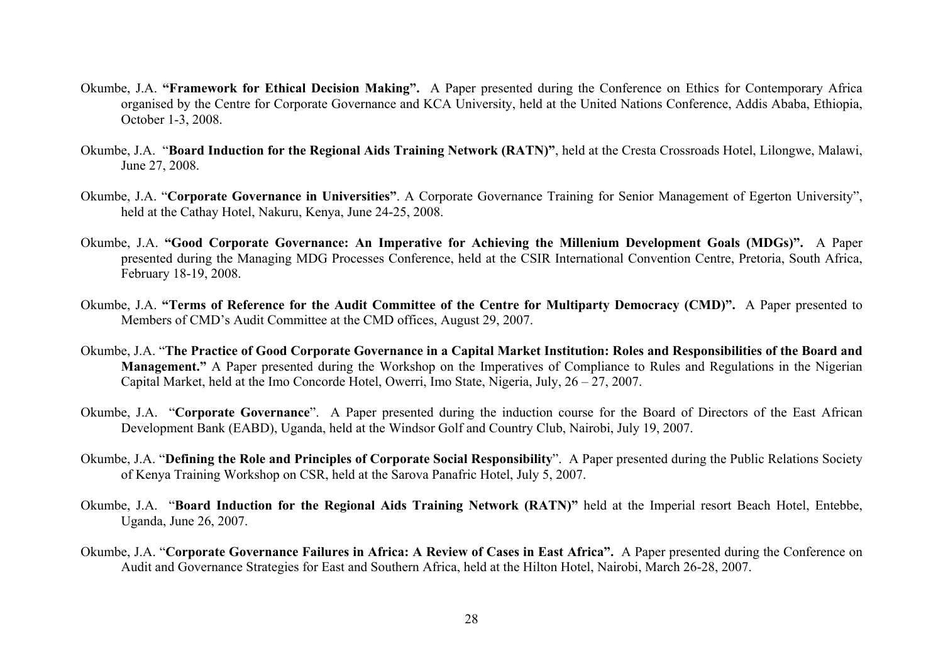- Okumbe, J.A. **"Framework for Ethical Decision Making".** A Paper presented during the Conference on Ethics for Contemporary Africa organised by the Centre for Corporate Governance and KCA University, held at the United Nations Conference, Addis Ababa, Ethiopia, October 1-3, 2008.
- Okumbe, J.A. "**Board Induction for the Regional Aids Training Network (RATN)"**, held at the Cresta Crossroads Hotel, Lilongwe, Malawi, June 27, 2008.
- Okumbe, J.A. "**Corporate Governance in Universities"**. A Corporate Governance Training for Senior Management of Egerton University", held at the Cathay Hotel, Nakuru, Kenya, June 24-25, 2008.
- Okumbe, J.A. **"Good Corporate Governance: An Imperative for Achieving the Millenium Development Goals (MDGs)".** A Paper presented during the Managing MDG Processes Conference, held at the CSIR International Convention Centre, Pretoria, South Africa, February 18-19, 2008.
- Okumbe, J.A. **"Terms of Reference for the Audit Committee of the Centre for Multiparty Democracy (CMD)".** A Paper presented to Members of CMD's Audit Committee at the CMD offices, August 29, 2007.
- Okumbe, J.A. "**The Practice of Good Corporate Governance in a Capital Market Institution: Roles and Responsibilities of the Board and Management."** A Paper presented during the Workshop on the Imperatives of Compliance to Rules and Regulations in the Nigerian Capital Market, held at the Imo Concorde Hotel, Owerri, Imo State, Nigeria, July, 26 – 27, 2007.
- Okumbe, J.A. "**Corporate Governance**". A Paper presented during the induction course for the Board of Directors of the East African Development Bank (EABD), Uganda, held at the Windsor Golf and Country Club, Nairobi, July 19, 2007.
- Okumbe, J.A. "**Defining the Role and Principles of Corporate Social Responsibility**". A Paper presented during the Public Relations Society of Kenya Training Workshop on CSR, held at the Sarova Panafric Hotel, July 5, 2007.
- Okumbe, J.A. "**Board Induction for the Regional Aids Training Network (RATN)"** held at the Imperial resort Beach Hotel, Entebbe, Uganda, June 26, 2007.
- Okumbe, J.A. "**Corporate Governance Failures in Africa: A Review of Cases in East Africa".** A Paper presented during the Conference on Audit and Governance Strategies for East and Southern Africa, held at the Hilton Hotel, Nairobi, March 26-28, 2007.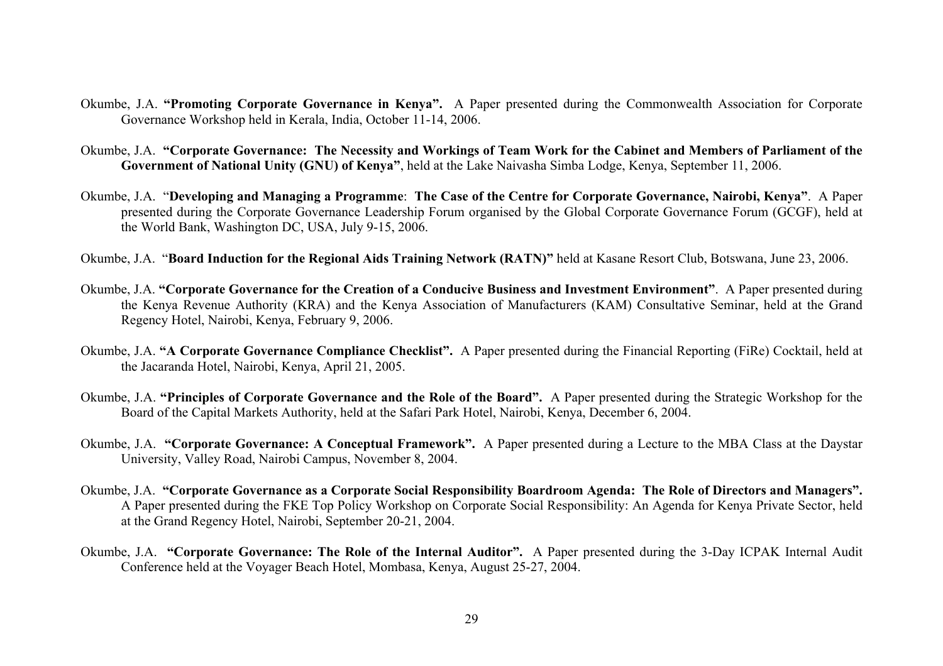- Okumbe, J.A. **"Promoting Corporate Governance in Kenya".** A Paper presented during the Commonwealth Association for Corporate Governance Workshop held in Kerala, India, October 11-14, 2006.
- Okumbe, J.A. **"Corporate Governance: The Necessity and Workings of Team Work for the Cabinet and Members of Parliament of the Government of National Unity (GNU) of Kenya"**, held at the Lake Naivasha Simba Lodge, Kenya, September 11, 2006.
- Okumbe, J.A. "**Developing and Managing a Programme**: **The Case of the Centre for Corporate Governance, Nairobi, Kenya"**. A Paper presented during the Corporate Governance Leadership Forum organised by the Global Corporate Governance Forum (GCGF), held at the World Bank, Washington DC, USA, July 9-15, 2006.
- Okumbe, J.A. "**Board Induction for the Regional Aids Training Network (RATN)"** held at Kasane Resort Club, Botswana, June 23, 2006.
- Okumbe, J.A. **"Corporate Governance for the Creation of a Conducive Business and Investment Environment"**. A Paper presented during the Kenya Revenue Authority (KRA) and the Kenya Association of Manufacturers (KAM) Consultative Seminar, held at the Grand Regency Hotel, Nairobi, Kenya, February 9, 2006.
- Okumbe, J.A. **"A Corporate Governance Compliance Checklist".** A Paper presented during the Financial Reporting (FiRe) Cocktail, held at the Jacaranda Hotel, Nairobi, Kenya, April 21, 2005.
- Okumbe, J.A. **"Principles of Corporate Governance and the Role of the Board".** A Paper presented during the Strategic Workshop for the Board of the Capital Markets Authority, held at the Safari Park Hotel, Nairobi, Kenya, December 6, 2004.
- Okumbe, J.A. **"Corporate Governance: A Conceptual Framework".** A Paper presented during a Lecture to the MBA Class at the Daystar University, Valley Road, Nairobi Campus, November 8, 2004.
- Okumbe, J.A. **"Corporate Governance as a Corporate Social Responsibility Boardroom Agenda: The Role of Directors and Managers".** A Paper presented during the FKE Top Policy Workshop on Corporate Social Responsibility: An Agenda for Kenya Private Sector, held at the Grand Regency Hotel, Nairobi, September 20-21, 2004.
- Okumbe, J.A. **"Corporate Governance: The Role of the Internal Auditor".** A Paper presented during the 3-Day ICPAK Internal Audit Conference held at the Voyager Beach Hotel, Mombasa, Kenya, August 25-27, 2004.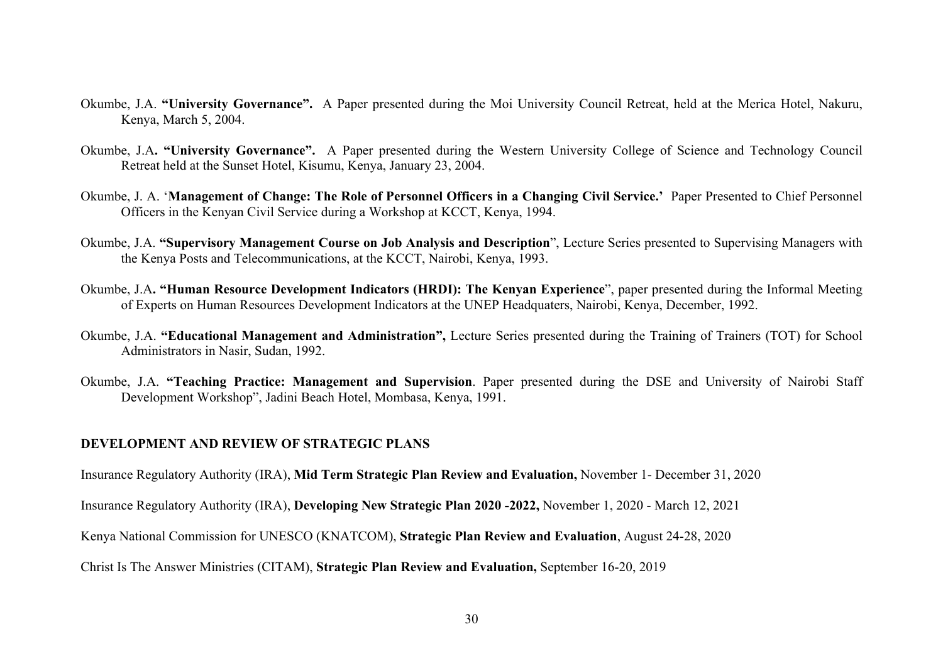- Okumbe, J.A. **"University Governance".** A Paper presented during the Moi University Council Retreat, held at the Merica Hotel, Nakuru, Kenya, March 5, 2004.
- Okumbe, J.A**. "University Governance".** A Paper presented during the Western University College of Science and Technology Council Retreat held at the Sunset Hotel, Kisumu, Kenya, January 23, 2004.
- Okumbe, J. A. '**Management of Change: The Role of Personnel Officers in a Changing Civil Service.'** Paper Presented to Chief Personnel Officers in the Kenyan Civil Service during a Workshop at KCCT, Kenya, 1994.
- Okumbe, J.A. **"Supervisory Management Course on Job Analysis and Description**", Lecture Series presented to Supervising Managers with the Kenya Posts and Telecommunications, at the KCCT, Nairobi, Kenya, 1993.
- Okumbe, J.A**. "Human Resource Development Indicators (HRDI): The Kenyan Experience**", paper presented during the Informal Meeting of Experts on Human Resources Development Indicators at the UNEP Headquaters, Nairobi, Kenya, December, 1992.
- Okumbe, J.A. **"Educational Management and Administration",** Lecture Series presented during the Training of Trainers (TOT) for School Administrators in Nasir, Sudan, 1992.
- Okumbe, J.A. **"Teaching Practice: Management and Supervision**. Paper presented during the DSE and University of Nairobi Staff Development Workshop", Jadini Beach Hotel, Mombasa, Kenya, 1991.

## **DEVELOPMENT AND REVIEW OF STRATEGIC PLANS**

Insurance Regulatory Authority (IRA), **Mid Term Strategic Plan Review and Evaluation,** November 1- December 31, 2020

Insurance Regulatory Authority (IRA), **Developing New Strategic Plan 2020 -2022,** November 1, 2020 - March 12, 2021

Kenya National Commission for UNESCO (KNATCOM), **Strategic Plan Review and Evaluation**, August 24-28, 2020

Christ Is The Answer Ministries (CITAM), **Strategic Plan Review and Evaluation,** September 16-20, 2019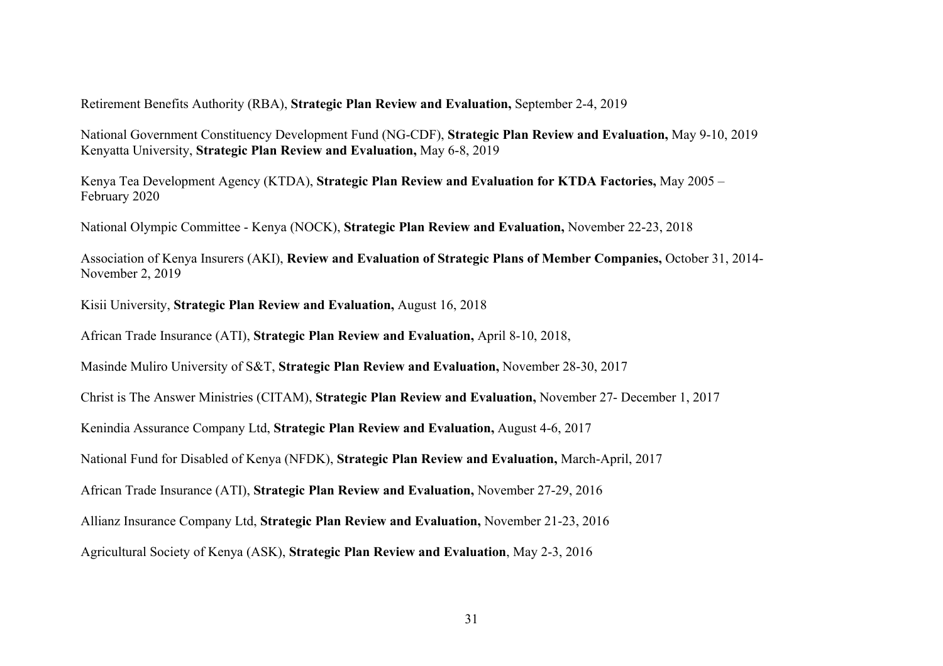Retirement Benefits Authority (RBA), **Strategic Plan Review and Evaluation,** September 2-4, 2019

National Government Constituency Development Fund (NG-CDF), **Strategic Plan Review and Evaluation,** May 9-10, 2019 Kenyatta University, **Strategic Plan Review and Evaluation,** May 6-8, 2019

Kenya Tea Development Agency (KTDA), **Strategic Plan Review and Evaluation for KTDA Factories,** May 2005 – February 2020

National Olympic Committee - Kenya (NOCK), **Strategic Plan Review and Evaluation,** November 22-23, 2018

Association of Kenya Insurers (AKI), **Review and Evaluation of Strategic Plans of Member Companies,** October 31, 2014- November 2, 2019

Kisii University, **Strategic Plan Review and Evaluation,** August 16, 2018

African Trade Insurance (ATI), **Strategic Plan Review and Evaluation,** April 8-10, 2018,

Masinde Muliro University of S&T, **Strategic Plan Review and Evaluation,** November 28-30, 2017

Christ is The Answer Ministries (CITAM), **Strategic Plan Review and Evaluation,** November 27- December 1, 2017

Kenindia Assurance Company Ltd, **Strategic Plan Review and Evaluation,** August 4-6, 2017

National Fund for Disabled of Kenya (NFDK), **Strategic Plan Review and Evaluation,** March-April, 2017

African Trade Insurance (ATI), **Strategic Plan Review and Evaluation,** November 27-29, 2016

Allianz Insurance Company Ltd, **Strategic Plan Review and Evaluation,** November 21-23, 2016

Agricultural Society of Kenya (ASK), **Strategic Plan Review and Evaluation**, May 2-3, 2016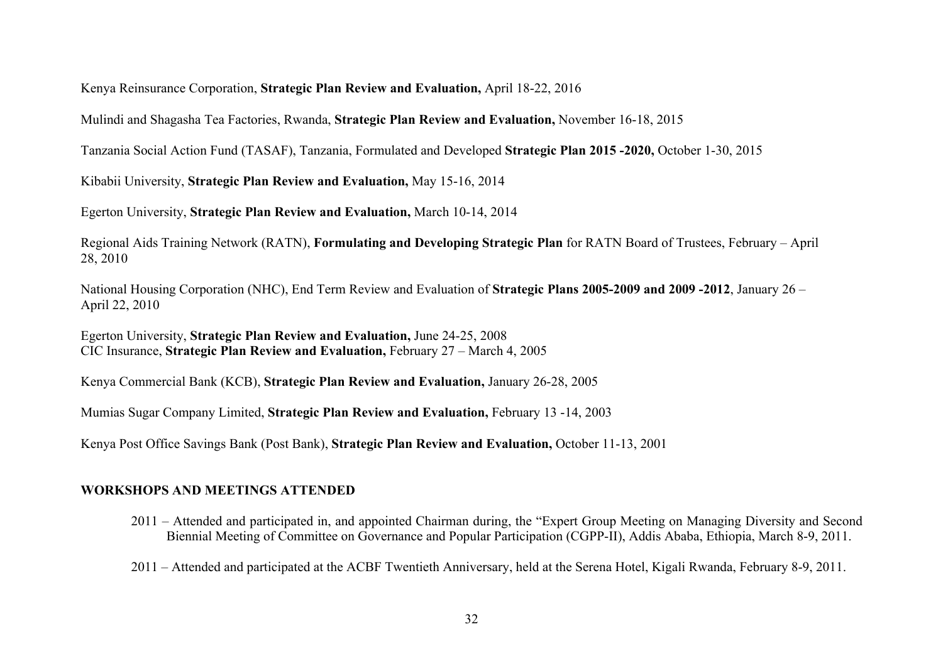Kenya Reinsurance Corporation, **Strategic Plan Review and Evaluation,** April 18-22, 2016

Mulindi and Shagasha Tea Factories, Rwanda, **Strategic Plan Review and Evaluation,** November 16-18, 2015

Tanzania Social Action Fund (TASAF), Tanzania, Formulated and Developed **Strategic Plan 2015 -2020,** October 1-30, 2015

Kibabii University, **Strategic Plan Review and Evaluation,** May 15-16, 2014

Egerton University, **Strategic Plan Review and Evaluation,** March 10-14, 2014

Regional Aids Training Network (RATN), **Formulating and Developing Strategic Plan** for RATN Board of Trustees, February – April 28, 2010

National Housing Corporation (NHC), End Term Review and Evaluation of **Strategic Plans 2005-2009 and 2009 -2012**, January 26 – April 22, 2010

Egerton University, **Strategic Plan Review and Evaluation,** June 24-25, 2008 CIC Insurance, **Strategic Plan Review and Evaluation,** February 27 – March 4, 2005

Kenya Commercial Bank (KCB), **Strategic Plan Review and Evaluation,** January 26-28, 2005

Mumias Sugar Company Limited, **Strategic Plan Review and Evaluation,** February 13 -14, 2003

Kenya Post Office Savings Bank (Post Bank), **Strategic Plan Review and Evaluation,** October 11-13, 2001

# **WORKSHOPS AND MEETINGS ATTENDED**

- 2011 Attended and participated in, and appointed Chairman during, the "Expert Group Meeting on Managing Diversity and Second Biennial Meeting of Committee on Governance and Popular Participation (CGPP-II), Addis Ababa, Ethiopia, March 8-9, 2011.
- 2011 Attended and participated at the ACBF Twentieth Anniversary, held at the Serena Hotel, Kigali Rwanda, February 8-9, 2011.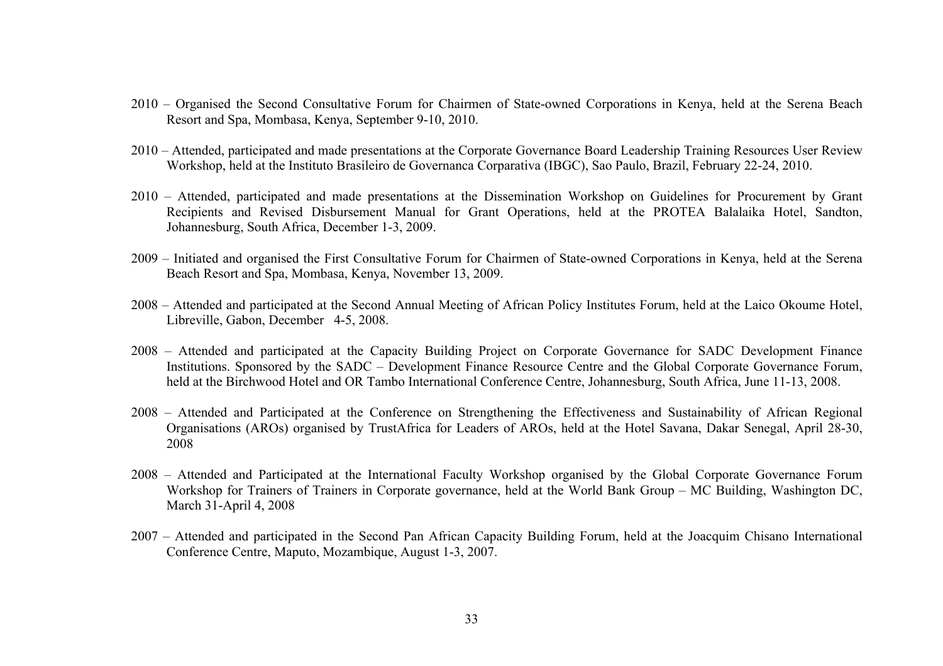- 2010 Organised the Second Consultative Forum for Chairmen of State-owned Corporations in Kenya, held at the Serena Beach Resort and Spa, Mombasa, Kenya, September 9-10, 2010.
- 2010 Attended, participated and made presentations at the Corporate Governance Board Leadership Training Resources User Review Workshop, held at the Instituto Brasileiro de Governanca Corparativa (IBGC), Sao Paulo, Brazil, February 22-24, 2010.
- 2010 Attended, participated and made presentations at the Dissemination Workshop on Guidelines for Procurement by Grant Recipients and Revised Disbursement Manual for Grant Operations, held at the PROTEA Balalaika Hotel, Sandton, Johannesburg, South Africa, December 1-3, 2009.
- 2009 Initiated and organised the First Consultative Forum for Chairmen of State-owned Corporations in Kenya, held at the Serena Beach Resort and Spa, Mombasa, Kenya, November 13, 2009.
- 2008 Attended and participated at the Second Annual Meeting of African Policy Institutes Forum, held at the Laico Okoume Hotel, Libreville, Gabon, December 4-5, 2008.
- 2008 Attended and participated at the Capacity Building Project on Corporate Governance for SADC Development Finance Institutions. Sponsored by the SADC – Development Finance Resource Centre and the Global Corporate Governance Forum, held at the Birchwood Hotel and OR Tambo International Conference Centre, Johannesburg, South Africa, June 11-13, 2008.
- 2008 Attended and Participated at the Conference on Strengthening the Effectiveness and Sustainability of African Regional Organisations (AROs) organised by TrustAfrica for Leaders of AROs, held at the Hotel Savana, Dakar Senegal, April 28-30, 2008
- 2008 Attended and Participated at the International Faculty Workshop organised by the Global Corporate Governance Forum Workshop for Trainers of Trainers in Corporate governance, held at the World Bank Group – MC Building, Washington DC, March 31-April 4, 2008
- 2007 Attended and participated in the Second Pan African Capacity Building Forum, held at the Joacquim Chisano International Conference Centre, Maputo, Mozambique, August 1-3, 2007.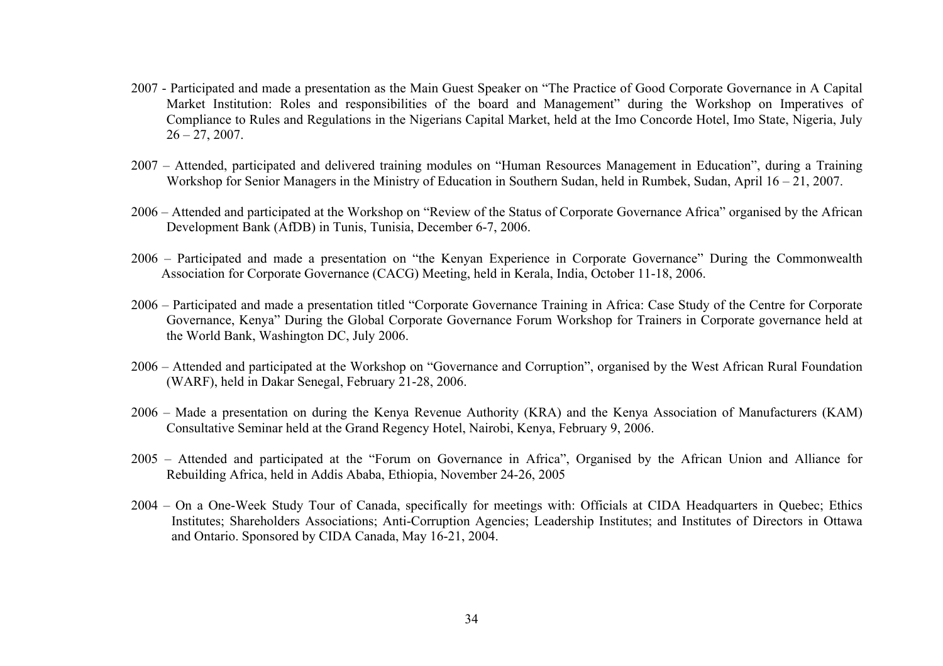- 2007 Participated and made a presentation as the Main Guest Speaker on "The Practice of Good Corporate Governance in A Capital Market Institution: Roles and responsibilities of the board and Management" during the Workshop on Imperatives of Compliance to Rules and Regulations in the Nigerians Capital Market, held at the Imo Concorde Hotel, Imo State, Nigeria, July  $26 - 27, 2007.$
- 2007 Attended, participated and delivered training modules on "Human Resources Management in Education", during a Training Workshop for Senior Managers in the Ministry of Education in Southern Sudan, held in Rumbek, Sudan, April 16 – 21, 2007.
- 2006 Attended and participated at the Workshop on "Review of the Status of Corporate Governance Africa" organised by the African Development Bank (AfDB) in Tunis, Tunisia, December 6-7, 2006.
- 2006 Participated and made a presentation on "the Kenyan Experience in Corporate Governance" During the Commonwealth Association for Corporate Governance (CACG) Meeting, held in Kerala, India, October 11-18, 2006.
- 2006 Participated and made a presentation titled "Corporate Governance Training in Africa: Case Study of the Centre for Corporate Governance, Kenya" During the Global Corporate Governance Forum Workshop for Trainers in Corporate governance held at the World Bank, Washington DC, July 2006.
- 2006 Attended and participated at the Workshop on "Governance and Corruption", organised by the West African Rural Foundation (WARF), held in Dakar Senegal, February 21-28, 2006.
- 2006 Made a presentation on during the Kenya Revenue Authority (KRA) and the Kenya Association of Manufacturers (KAM) Consultative Seminar held at the Grand Regency Hotel, Nairobi, Kenya, February 9, 2006.
- 2005 Attended and participated at the "Forum on Governance in Africa", Organised by the African Union and Alliance for Rebuilding Africa, held in Addis Ababa, Ethiopia, November 24-26, 2005
- 2004 On a One-Week Study Tour of Canada, specifically for meetings with: Officials at CIDA Headquarters in Quebec; Ethics Institutes; Shareholders Associations; Anti-Corruption Agencies; Leadership Institutes; and Institutes of Directors in Ottawa and Ontario. Sponsored by CIDA Canada, May 16-21, 2004.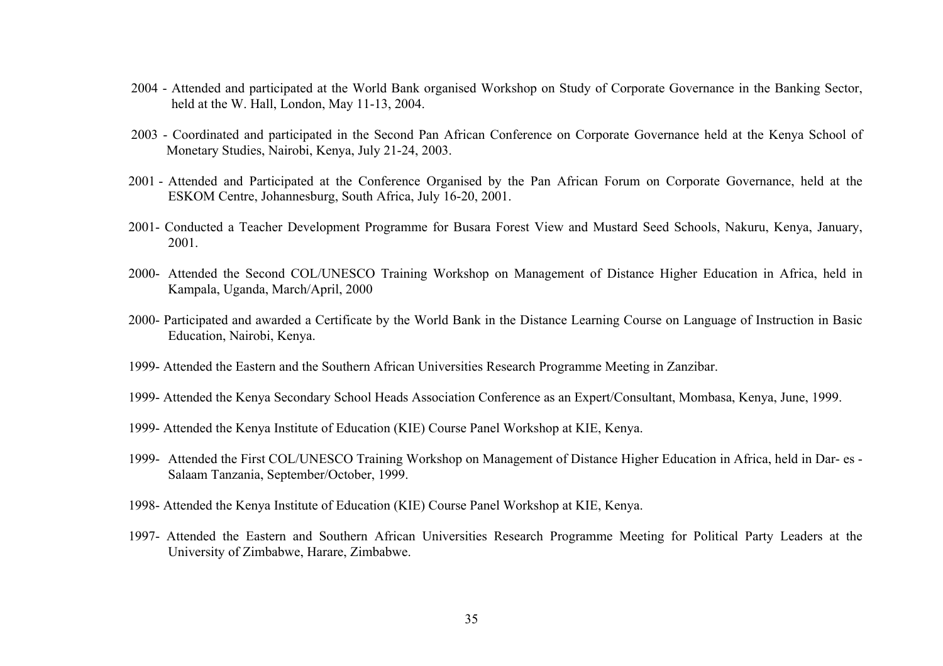- 2004 Attended and participated at the World Bank organised Workshop on Study of Corporate Governance in the Banking Sector, held at the W. Hall, London, May 11-13, 2004.
- 2003 Coordinated and participated in the Second Pan African Conference on Corporate Governance held at the Kenya School of Monetary Studies, Nairobi, Kenya, July 21-24, 2003.
- 2001 Attended and Participated at the Conference Organised by the Pan African Forum on Corporate Governance, held at the ESKOM Centre, Johannesburg, South Africa, July 16-20, 2001.
- 2001- Conducted a Teacher Development Programme for Busara Forest View and Mustard Seed Schools, Nakuru, Kenya, January, 2001.
- 2000- Attended the Second COL/UNESCO Training Workshop on Management of Distance Higher Education in Africa, held in Kampala, Uganda, March/April, 2000
- 2000- Participated and awarded a Certificate by the World Bank in the Distance Learning Course on Language of Instruction in Basic Education, Nairobi, Kenya.
- 1999- Attended the Eastern and the Southern African Universities Research Programme Meeting in Zanzibar.
- 1999- Attended the Kenya Secondary School Heads Association Conference as an Expert/Consultant, Mombasa, Kenya, June, 1999.
- 1999- Attended the Kenya Institute of Education (KIE) Course Panel Workshop at KIE, Kenya.
- 1999- Attended the First COL/UNESCO Training Workshop on Management of Distance Higher Education in Africa, held in Dar- es Salaam Tanzania, September/October, 1999.
- 1998- Attended the Kenya Institute of Education (KIE) Course Panel Workshop at KIE, Kenya.
- 1997- Attended the Eastern and Southern African Universities Research Programme Meeting for Political Party Leaders at the University of Zimbabwe, Harare, Zimbabwe.